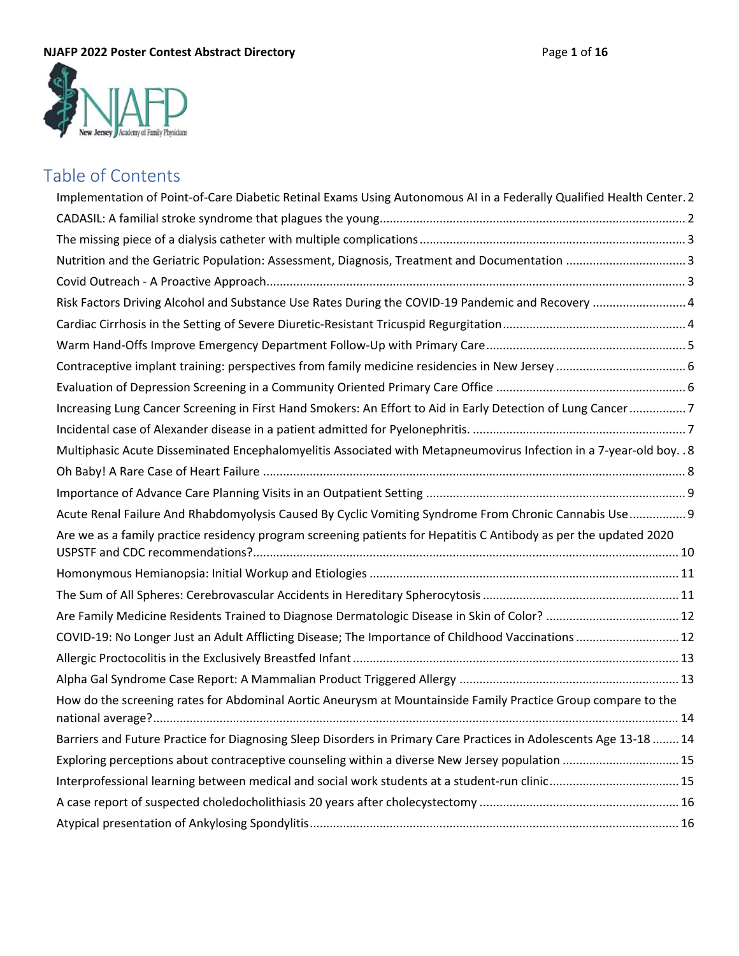

# Table of Contents

| Implementation of Point-of-Care Diabetic Retinal Exams Using Autonomous AI in a Federally Qualified Health Center. 2 |  |
|----------------------------------------------------------------------------------------------------------------------|--|
|                                                                                                                      |  |
|                                                                                                                      |  |
| Nutrition and the Geriatric Population: Assessment, Diagnosis, Treatment and Documentation 3                         |  |
|                                                                                                                      |  |
| Risk Factors Driving Alcohol and Substance Use Rates During the COVID-19 Pandemic and Recovery  4                    |  |
|                                                                                                                      |  |
|                                                                                                                      |  |
|                                                                                                                      |  |
|                                                                                                                      |  |
| Increasing Lung Cancer Screening in First Hand Smokers: An Effort to Aid in Early Detection of Lung Cancer7          |  |
|                                                                                                                      |  |
| Multiphasic Acute Disseminated Encephalomyelitis Associated with Metapneumovirus Infection in a 7-year-old boy. . 8  |  |
|                                                                                                                      |  |
|                                                                                                                      |  |
| Acute Renal Failure And Rhabdomyolysis Caused By Cyclic Vomiting Syndrome From Chronic Cannabis Use 9                |  |
| Are we as a family practice residency program screening patients for Hepatitis C Antibody as per the updated 2020    |  |
|                                                                                                                      |  |
|                                                                                                                      |  |
|                                                                                                                      |  |
|                                                                                                                      |  |
| COVID-19: No Longer Just an Adult Afflicting Disease; The Importance of Childhood Vaccinations  12                   |  |
|                                                                                                                      |  |
|                                                                                                                      |  |
| How do the screening rates for Abdominal Aortic Aneurysm at Mountainside Family Practice Group compare to the        |  |
| Barriers and Future Practice for Diagnosing Sleep Disorders in Primary Care Practices in Adolescents Age 13-18  14   |  |
| Exploring perceptions about contraceptive counseling within a diverse New Jersey population  15                      |  |
|                                                                                                                      |  |
|                                                                                                                      |  |
|                                                                                                                      |  |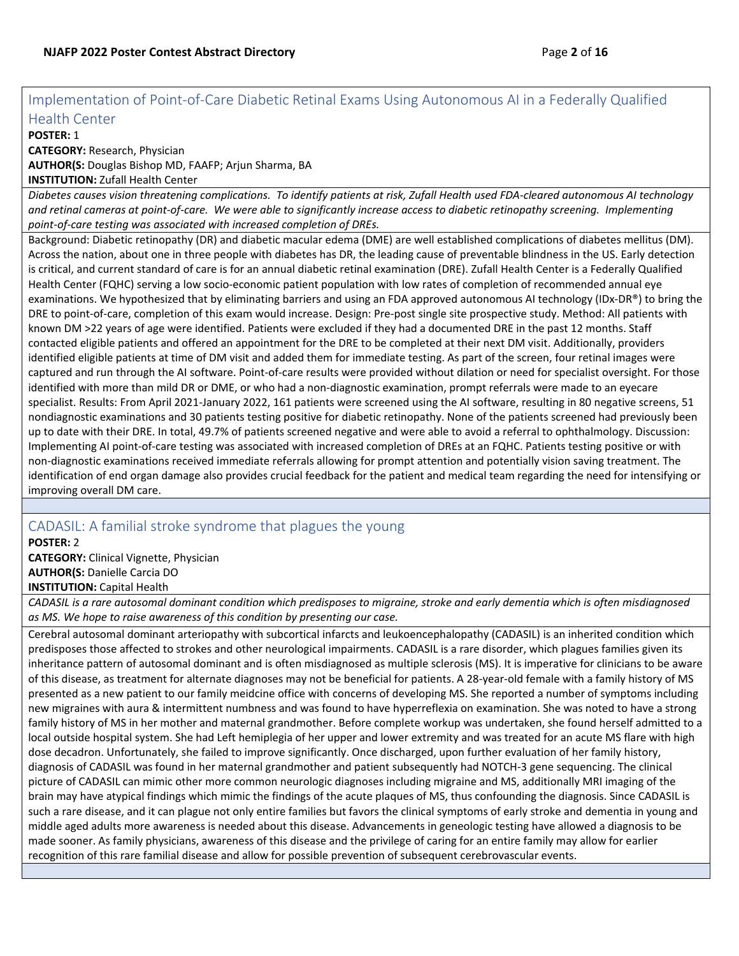## <span id="page-1-0"></span>Implementation of Point-of-Care Diabetic Retinal Exams Using Autonomous AI in a Federally Qualified Health Center

#### **POSTER:** 1

**CATEGORY:** Research, Physician

**AUTHOR(S:** Douglas Bishop MD, FAAFP; Arjun Sharma, BA

**INSTITUTION:** Zufall Health Center

*Diabetes causes vision threatening complications. To identify patients at risk, Zufall Health used FDA-cleared autonomous AI technology and retinal cameras at point-of-care. We were able to significantly increase access to diabetic retinopathy screening. Implementing point-of-care testing was associated with increased completion of DREs.*

Background: Diabetic retinopathy (DR) and diabetic macular edema (DME) are well established complications of diabetes mellitus (DM). Across the nation, about one in three people with diabetes has DR, the leading cause of preventable blindness in the US. Early detection is critical, and current standard of care is for an annual diabetic retinal examination (DRE). Zufall Health Center is a Federally Qualified Health Center (FQHC) serving a low socio-economic patient population with low rates of completion of recommended annual eye examinations. We hypothesized that by eliminating barriers and using an FDA approved autonomous AI technology (IDx-DR®) to bring the DRE to point-of-care, completion of this exam would increase. Design: Pre-post single site prospective study. Method: All patients with known DM >22 years of age were identified. Patients were excluded if they had a documented DRE in the past 12 months. Staff contacted eligible patients and offered an appointment for the DRE to be completed at their next DM visit. Additionally, providers identified eligible patients at time of DM visit and added them for immediate testing. As part of the screen, four retinal images were captured and run through the AI software. Point-of-care results were provided without dilation or need for specialist oversight. For those identified with more than mild DR or DME, or who had a non-diagnostic examination, prompt referrals were made to an eyecare specialist. Results: From April 2021-January 2022, 161 patients were screened using the AI software, resulting in 80 negative screens, 51 nondiagnostic examinations and 30 patients testing positive for diabetic retinopathy. None of the patients screened had previously been up to date with their DRE. In total, 49.7% of patients screened negative and were able to avoid a referral to ophthalmology. Discussion: Implementing AI point-of-care testing was associated with increased completion of DREs at an FQHC. Patients testing positive or with non-diagnostic examinations received immediate referrals allowing for prompt attention and potentially vision saving treatment. The identification of end organ damage also provides crucial feedback for the patient and medical team regarding the need for intensifying or improving overall DM care.

## <span id="page-1-1"></span>CADASIL: A familial stroke syndrome that plagues the young

**POSTER:** 2 **CATEGORY:** Clinical Vignette, Physician **AUTHOR(S:** Danielle Carcia DO **INSTITUTION:** Capital Health

*CADASIL is a rare autosomal dominant condition which predisposes to migraine, stroke and early dementia which is often misdiagnosed as MS. We hope to raise awareness of this condition by presenting our case.*

Cerebral autosomal dominant arteriopathy with subcortical infarcts and leukoencephalopathy (CADASIL) is an inherited condition which predisposes those affected to strokes and other neurological impairments. CADASIL is a rare disorder, which plagues families given its inheritance pattern of autosomal dominant and is often misdiagnosed as multiple sclerosis (MS). It is imperative for clinicians to be aware of this disease, as treatment for alternate diagnoses may not be beneficial for patients. A 28-year-old female with a family history of MS presented as a new patient to our family meidcine office with concerns of developing MS. She reported a number of symptoms including new migraines with aura & intermittent numbness and was found to have hyperreflexia on examination. She was noted to have a strong family history of MS in her mother and maternal grandmother. Before complete workup was undertaken, she found herself admitted to a local outside hospital system. She had Left hemiplegia of her upper and lower extremity and was treated for an acute MS flare with high dose decadron. Unfortunately, she failed to improve significantly. Once discharged, upon further evaluation of her family history, diagnosis of CADASIL was found in her maternal grandmother and patient subsequently had NOTCH-3 gene sequencing. The clinical picture of CADASIL can mimic other more common neurologic diagnoses including migraine and MS, additionally MRI imaging of the brain may have atypical findings which mimic the findings of the acute plaques of MS, thus confounding the diagnosis. Since CADASIL is such a rare disease, and it can plague not only entire families but favors the clinical symptoms of early stroke and dementia in young and middle aged adults more awareness is needed about this disease. Advancements in geneologic testing have allowed a diagnosis to be made sooner. As family physicians, awareness of this disease and the privilege of caring for an entire family may allow for earlier recognition of this rare familial disease and allow for possible prevention of subsequent cerebrovascular events.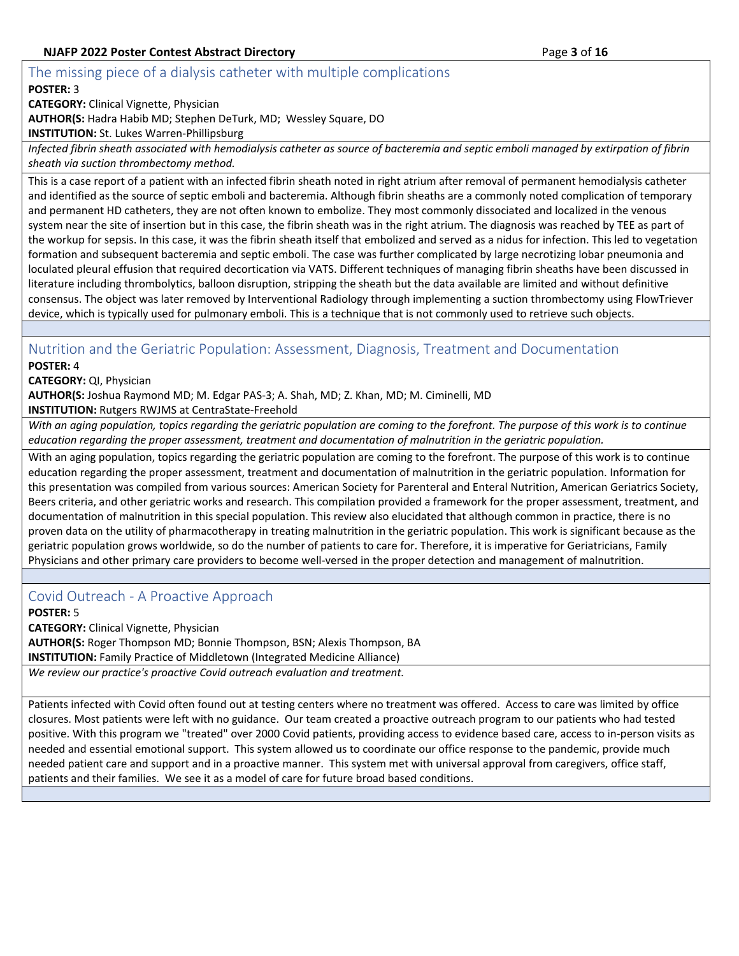## <span id="page-2-0"></span>The missing piece of a dialysis catheter with multiple complications

#### **POSTER:** 3

**CATEGORY:** Clinical Vignette, Physician

**AUTHOR(S:** Hadra Habib MD; Stephen DeTurk, MD; Wessley Square, DO

**INSTITUTION:** St. Lukes Warren-Phillipsburg

*Infected fibrin sheath associated with hemodialysis catheter as source of bacteremia and septic emboli managed by extirpation of fibrin sheath via suction thrombectomy method.*

This is a case report of a patient with an infected fibrin sheath noted in right atrium after removal of permanent hemodialysis catheter and identified as the source of septic emboli and bacteremia. Although fibrin sheaths are a commonly noted complication of temporary and permanent HD catheters, they are not often known to embolize. They most commonly dissociated and localized in the venous system near the site of insertion but in this case, the fibrin sheath was in the right atrium. The diagnosis was reached by TEE as part of the workup for sepsis. In this case, it was the fibrin sheath itself that embolized and served as a nidus for infection. This led to vegetation formation and subsequent bacteremia and septic emboli. The case was further complicated by large necrotizing lobar pneumonia and loculated pleural effusion that required decortication via VATS. Different techniques of managing fibrin sheaths have been discussed in literature including thrombolytics, balloon disruption, stripping the sheath but the data available are limited and without definitive consensus. The object was later removed by Interventional Radiology through implementing a suction thrombectomy using FlowTriever device, which is typically used for pulmonary emboli. This is a technique that is not commonly used to retrieve such objects.

## <span id="page-2-1"></span>Nutrition and the Geriatric Population: Assessment, Diagnosis, Treatment and Documentation **POSTER:** 4

**CATEGORY:** QI, Physician

**AUTHOR(S:** Joshua Raymond MD; M. Edgar PAS-3; A. Shah, MD; Z. Khan, MD; M. Ciminelli, MD

**INSTITUTION:** Rutgers RWJMS at CentraState-Freehold

*With an aging population, topics regarding the geriatric population are coming to the forefront. The purpose of this work is to continue education regarding the proper assessment, treatment and documentation of malnutrition in the geriatric population.*

With an aging population, topics regarding the geriatric population are coming to the forefront. The purpose of this work is to continue education regarding the proper assessment, treatment and documentation of malnutrition in the geriatric population. Information for this presentation was compiled from various sources: American Society for Parenteral and Enteral Nutrition, American Geriatrics Society, Beers criteria, and other geriatric works and research. This compilation provided a framework for the proper assessment, treatment, and documentation of malnutrition in this special population. This review also elucidated that although common in practice, there is no proven data on the utility of pharmacotherapy in treating malnutrition in the geriatric population. This work is significant because as the geriatric population grows worldwide, so do the number of patients to care for. Therefore, it is imperative for Geriatricians, Family Physicians and other primary care providers to become well-versed in the proper detection and management of malnutrition.

## <span id="page-2-2"></span>Covid Outreach - A Proactive Approach

## **POSTER:** 5

**CATEGORY:** Clinical Vignette, Physician **AUTHOR(S:** Roger Thompson MD; Bonnie Thompson, BSN; Alexis Thompson, BA **INSTITUTION:** Family Practice of Middletown (Integrated Medicine Alliance)

*We review our practice's proactive Covid outreach evaluation and treatment.*

Patients infected with Covid often found out at testing centers where no treatment was offered. Access to care was limited by office closures. Most patients were left with no guidance. Our team created a proactive outreach program to our patients who had tested positive. With this program we "treated" over 2000 Covid patients, providing access to evidence based care, access to in-person visits as needed and essential emotional support. This system allowed us to coordinate our office response to the pandemic, provide much needed patient care and support and in a proactive manner. This system met with universal approval from caregivers, office staff, patients and their families. We see it as a model of care for future broad based conditions.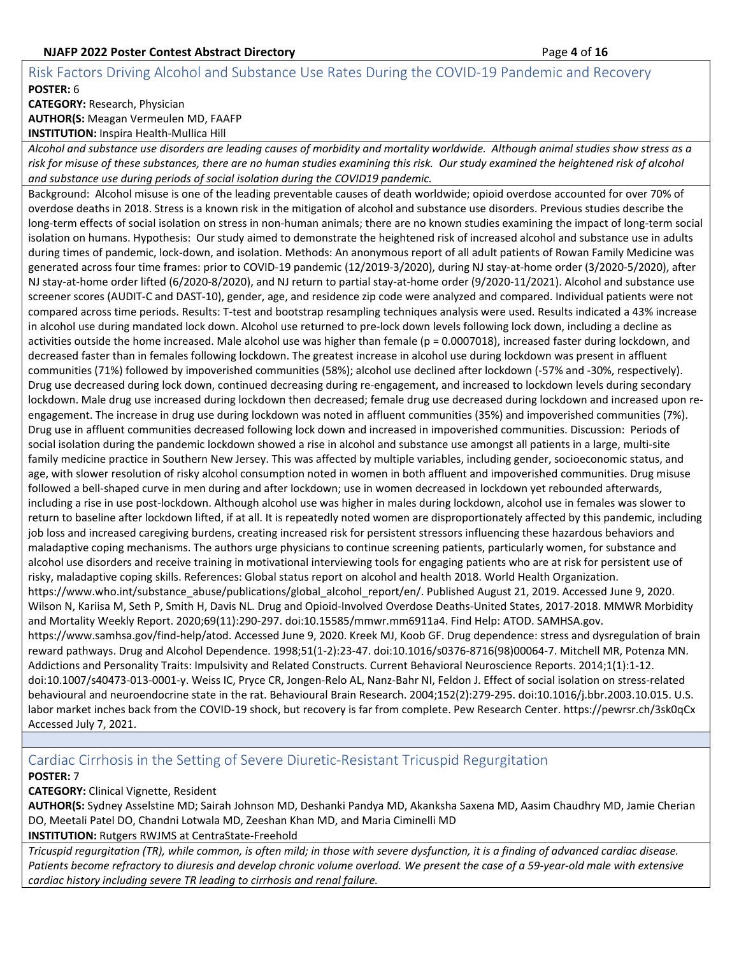## <span id="page-3-0"></span>Risk Factors Driving Alcohol and Substance Use Rates During the COVID-19 Pandemic and Recovery **POSTER:** 6 **CATEGORY:** Research, Physician

**AUTHOR(S:** Meagan Vermeulen MD, FAAFP **INSTITUTION:** Inspira Health-Mullica Hill

*Alcohol and substance use disorders are leading causes of morbidity and mortality worldwide. Although animal studies show stress as a risk for misuse of these substances, there are no human studies examining this risk. Our study examined the heightened risk of alcohol and substance use during periods of social isolation during the COVID19 pandemic.*

Background: Alcohol misuse is one of the leading preventable causes of death worldwide; opioid overdose accounted for over 70% of overdose deaths in 2018. Stress is a known risk in the mitigation of alcohol and substance use disorders. Previous studies describe the long-term effects of social isolation on stress in non-human animals; there are no known studies examining the impact of long-term social isolation on humans. Hypothesis: Our study aimed to demonstrate the heightened risk of increased alcohol and substance use in adults during times of pandemic, lock-down, and isolation. Methods: An anonymous report of all adult patients of Rowan Family Medicine was generated across four time frames: prior to COVID-19 pandemic (12/2019-3/2020), during NJ stay-at-home order (3/2020-5/2020), after NJ stay-at-home order lifted (6/2020-8/2020), and NJ return to partial stay-at-home order (9/2020-11/2021). Alcohol and substance use screener scores (AUDIT-C and DAST-10), gender, age, and residence zip code were analyzed and compared. Individual patients were not compared across time periods. Results: T-test and bootstrap resampling techniques analysis were used. Results indicated a 43% increase in alcohol use during mandated lock down. Alcohol use returned to pre-lock down levels following lock down, including a decline as activities outside the home increased. Male alcohol use was higher than female (p = 0.0007018), increased faster during lockdown, and decreased faster than in females following lockdown. The greatest increase in alcohol use during lockdown was present in affluent communities (71%) followed by impoverished communities (58%); alcohol use declined after lockdown (-57% and -30%, respectively). Drug use decreased during lock down, continued decreasing during re-engagement, and increased to lockdown levels during secondary lockdown. Male drug use increased during lockdown then decreased; female drug use decreased during lockdown and increased upon reengagement. The increase in drug use during lockdown was noted in affluent communities (35%) and impoverished communities (7%). Drug use in affluent communities decreased following lock down and increased in impoverished communities. Discussion: Periods of social isolation during the pandemic lockdown showed a rise in alcohol and substance use amongst all patients in a large, multi-site family medicine practice in Southern New Jersey. This was affected by multiple variables, including gender, socioeconomic status, and age, with slower resolution of risky alcohol consumption noted in women in both affluent and impoverished communities. Drug misuse followed a bell-shaped curve in men during and after lockdown; use in women decreased in lockdown yet rebounded afterwards, including a rise in use post-lockdown. Although alcohol use was higher in males during lockdown, alcohol use in females was slower to return to baseline after lockdown lifted, if at all. It is repeatedly noted women are disproportionately affected by this pandemic, including job loss and increased caregiving burdens, creating increased risk for persistent stressors influencing these hazardous behaviors and maladaptive coping mechanisms. The authors urge physicians to continue screening patients, particularly women, for substance and alcohol use disorders and receive training in motivational interviewing tools for engaging patients who are at risk for persistent use of risky, maladaptive coping skills. References: Global status report on alcohol and health 2018. World Health Organization. https://www.who.int/substance\_abuse/publications/global\_alcohol\_report/en/. Published August 21, 2019. Accessed June 9, 2020. Wilson N, Kariisa M, Seth P, Smith H, Davis NL. Drug and Opioid-Involved Overdose Deaths-United States, 2017-2018. MMWR Morbidity and Mortality Weekly Report. 2020;69(11):290-297. doi:10.15585/mmwr.mm6911a4. Find Help: ATOD. SAMHSA.gov. https://www.samhsa.gov/find-help/atod. Accessed June 9, 2020. Kreek MJ, Koob GF. Drug dependence: stress and dysregulation of brain reward pathways. Drug and Alcohol Dependence. 1998;51(1-2):23-47. doi:10.1016/s0376-8716(98)00064-7. Mitchell MR, Potenza MN. Addictions and Personality Traits: Impulsivity and Related Constructs. Current Behavioral Neuroscience Reports. 2014;1(1):1-12. doi:10.1007/s40473-013-0001-y. Weiss IC, Pryce CR, Jongen-Relo AL, Nanz-Bahr NI, Feldon J. Effect of social isolation on stress-related behavioural and neuroendocrine state in the rat. Behavioural Brain Research. 2004;152(2):279-295. doi:10.1016/j.bbr.2003.10.015. U.S. labor market inches back from the COVID-19 shock, but recovery is far from complete. Pew Research Center. https://pewrsr.ch/3sk0qCx Accessed July 7, 2021.

## <span id="page-3-1"></span>Cardiac Cirrhosis in the Setting of Severe Diuretic-Resistant Tricuspid Regurgitation

## **POSTER:** 7

**CATEGORY:** Clinical Vignette, Resident

**AUTHOR(S:** Sydney Asselstine MD; Sairah Johnson MD, Deshanki Pandya MD, Akanksha Saxena MD, Aasim Chaudhry MD, Jamie Cherian DO, Meetali Patel DO, Chandni Lotwala MD, Zeeshan Khan MD, and Maria Ciminelli MD **INSTITUTION:** Rutgers RWJMS at CentraState-Freehold

*Tricuspid regurgitation (TR), while common, is often mild; in those with severe dysfunction, it is a finding of advanced cardiac disease. Patients become refractory to diuresis and develop chronic volume overload. We present the case of a 59-year-old male with extensive cardiac history including severe TR leading to cirrhosis and renal failure.*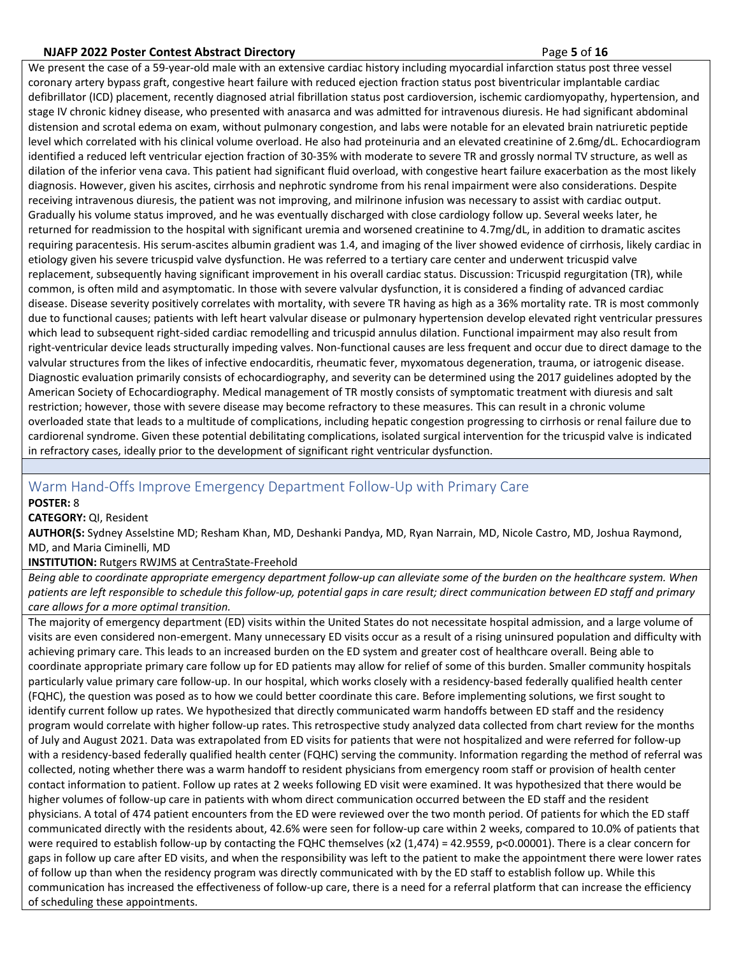#### **NJAFP 2022 Poster Contest Abstract Directory** Page **5** of **16**

We present the case of a 59-year-old male with an extensive cardiac history including myocardial infarction status post three vessel coronary artery bypass graft, congestive heart failure with reduced ejection fraction status post biventricular implantable cardiac defibrillator (ICD) placement, recently diagnosed atrial fibrillation status post cardioversion, ischemic cardiomyopathy, hypertension, and stage IV chronic kidney disease, who presented with anasarca and was admitted for intravenous diuresis. He had significant abdominal distension and scrotal edema on exam, without pulmonary congestion, and labs were notable for an elevated brain natriuretic peptide level which correlated with his clinical volume overload. He also had proteinuria and an elevated creatinine of 2.6mg/dL. Echocardiogram identified a reduced left ventricular ejection fraction of 30-35% with moderate to severe TR and grossly normal TV structure, as well as dilation of the inferior vena cava. This patient had significant fluid overload, with congestive heart failure exacerbation as the most likely diagnosis. However, given his ascites, cirrhosis and nephrotic syndrome from his renal impairment were also considerations. Despite receiving intravenous diuresis, the patient was not improving, and milrinone infusion was necessary to assist with cardiac output. Gradually his volume status improved, and he was eventually discharged with close cardiology follow up. Several weeks later, he returned for readmission to the hospital with significant uremia and worsened creatinine to 4.7mg/dL, in addition to dramatic ascites requiring paracentesis. His serum-ascites albumin gradient was 1.4, and imaging of the liver showed evidence of cirrhosis, likely cardiac in etiology given his severe tricuspid valve dysfunction. He was referred to a tertiary care center and underwent tricuspid valve replacement, subsequently having significant improvement in his overall cardiac status. Discussion: Tricuspid regurgitation (TR), while common, is often mild and asymptomatic. In those with severe valvular dysfunction, it is considered a finding of advanced cardiac disease. Disease severity positively correlates with mortality, with severe TR having as high as a 36% mortality rate. TR is most commonly due to functional causes; patients with left heart valvular disease or pulmonary hypertension develop elevated right ventricular pressures which lead to subsequent right-sided cardiac remodelling and tricuspid annulus dilation. Functional impairment may also result from right-ventricular device leads structurally impeding valves. Non-functional causes are less frequent and occur due to direct damage to the valvular structures from the likes of infective endocarditis, rheumatic fever, myxomatous degeneration, trauma, or iatrogenic disease. Diagnostic evaluation primarily consists of echocardiography, and severity can be determined using the 2017 guidelines adopted by the American Society of Echocardiography. Medical management of TR mostly consists of symptomatic treatment with diuresis and salt restriction; however, those with severe disease may become refractory to these measures. This can result in a chronic volume overloaded state that leads to a multitude of complications, including hepatic congestion progressing to cirrhosis or renal failure due to cardiorenal syndrome. Given these potential debilitating complications, isolated surgical intervention for the tricuspid valve is indicated in refractory cases, ideally prior to the development of significant right ventricular dysfunction.

## <span id="page-4-0"></span>Warm Hand-Offs Improve Emergency Department Follow-Up with Primary Care

**POSTER:** 8

**CATEGORY:** QI, Resident

**AUTHOR(S:** Sydney Asselstine MD; Resham Khan, MD, Deshanki Pandya, MD, Ryan Narrain, MD, Nicole Castro, MD, Joshua Raymond, MD, and Maria Ciminelli, MD

## **INSTITUTION:** Rutgers RWJMS at CentraState-Freehold

*Being able to coordinate appropriate emergency department follow-up can alleviate some of the burden on the healthcare system. When patients are left responsible to schedule this follow-up, potential gaps in care result; direct communication between ED staff and primary care allows for a more optimal transition.*

The majority of emergency department (ED) visits within the United States do not necessitate hospital admission, and a large volume of visits are even considered non-emergent. Many unnecessary ED visits occur as a result of a rising uninsured population and difficulty with achieving primary care. This leads to an increased burden on the ED system and greater cost of healthcare overall. Being able to coordinate appropriate primary care follow up for ED patients may allow for relief of some of this burden. Smaller community hospitals particularly value primary care follow-up. In our hospital, which works closely with a residency-based federally qualified health center (FQHC), the question was posed as to how we could better coordinate this care. Before implementing solutions, we first sought to identify current follow up rates. We hypothesized that directly communicated warm handoffs between ED staff and the residency program would correlate with higher follow-up rates. This retrospective study analyzed data collected from chart review for the months of July and August 2021. Data was extrapolated from ED visits for patients that were not hospitalized and were referred for follow-up with a residency-based federally qualified health center (FQHC) serving the community. Information regarding the method of referral was collected, noting whether there was a warm handoff to resident physicians from emergency room staff or provision of health center contact information to patient. Follow up rates at 2 weeks following ED visit were examined. It was hypothesized that there would be higher volumes of follow-up care in patients with whom direct communication occurred between the ED staff and the resident physicians. A total of 474 patient encounters from the ED were reviewed over the two month period. Of patients for which the ED staff communicated directly with the residents about, 42.6% were seen for follow-up care within 2 weeks, compared to 10.0% of patients that were required to establish follow-up by contacting the FQHC themselves (x2 (1,474) = 42.9559, p<0.00001). There is a clear concern for gaps in follow up care after ED visits, and when the responsibility was left to the patient to make the appointment there were lower rates of follow up than when the residency program was directly communicated with by the ED staff to establish follow up. While this communication has increased the effectiveness of follow-up care, there is a need for a referral platform that can increase the efficiency of scheduling these appointments.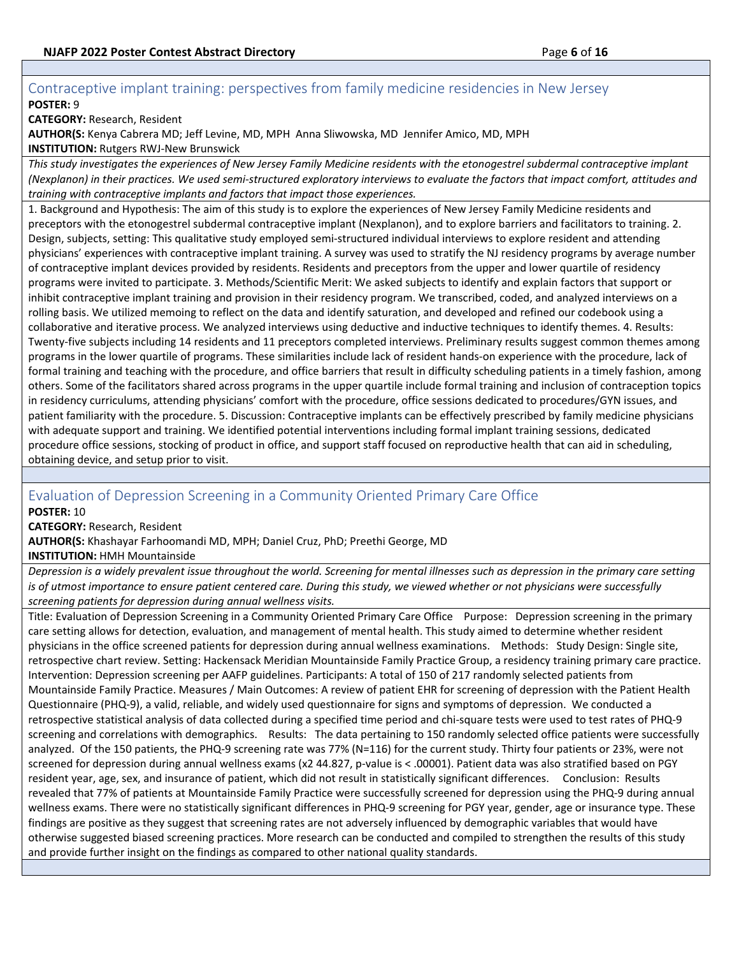## <span id="page-5-0"></span>Contraceptive implant training: perspectives from family medicine residencies in New Jersey **POSTER:** 9

**CATEGORY:** Research, Resident

**AUTHOR(S:** Kenya Cabrera MD; Jeff Levine, MD, MPH Anna Sliwowska, MD Jennifer Amico, MD, MPH **INSTITUTION:** Rutgers RWJ-New Brunswick

This study investigates the experiences of New Jersey Family Medicine residents with the etonogestrel subdermal contraceptive *implant (Nexplanon) in their practices. We used semi-structured exploratory interviews to evaluate the factors that impact comfort, attitudes and training with contraceptive implants and factors that impact those experiences.*

1. Background and Hypothesis: The aim of this study is to explore the experiences of New Jersey Family Medicine residents and preceptors with the etonogestrel subdermal contraceptive implant (Nexplanon), and to explore barriers and facilitators to training. 2. Design, subjects, setting: This qualitative study employed semi-structured individual interviews to explore resident and attending physicians' experiences with contraceptive implant training. A survey was used to stratify the NJ residency programs by average number of contraceptive implant devices provided by residents. Residents and preceptors from the upper and lower quartile of residency programs were invited to participate. 3. Methods/Scientific Merit: We asked subjects to identify and explain factors that support or inhibit contraceptive implant training and provision in their residency program. We transcribed, coded, and analyzed interviews on a rolling basis. We utilized memoing to reflect on the data and identify saturation, and developed and refined our codebook using a collaborative and iterative process. We analyzed interviews using deductive and inductive techniques to identify themes. 4. Results: Twenty-five subjects including 14 residents and 11 preceptors completed interviews. Preliminary results suggest common themes among programs in the lower quartile of programs. These similarities include lack of resident hands-on experience with the procedure, lack of formal training and teaching with the procedure, and office barriers that result in difficulty scheduling patients in a timely fashion, among others. Some of the facilitators shared across programs in the upper quartile include formal training and inclusion of contraception topics in residency curriculums, attending physicians' comfort with the procedure, office sessions dedicated to procedures/GYN issues, and patient familiarity with the procedure. 5. Discussion: Contraceptive implants can be effectively prescribed by family medicine physicians with adequate support and training. We identified potential interventions including formal implant training sessions, dedicated procedure office sessions, stocking of product in office, and support staff focused on reproductive health that can aid in scheduling, obtaining device, and setup prior to visit.

## <span id="page-5-1"></span>Evaluation of Depression Screening in a Community Oriented Primary Care Office

**POSTER:** 10

**CATEGORY:** Research, Resident

**AUTHOR(S:** Khashayar Farhoomandi MD, MPH; Daniel Cruz, PhD; Preethi George, MD

**INSTITUTION:** HMH Mountainside

*Depression is a widely prevalent issue throughout the world. Screening for mental illnesses such as depression in the primary care setting is of utmost importance to ensure patient centered care. During this study, we viewed whether or not physicians were successfully screening patients for depression during annual wellness visits.*

Title: Evaluation of Depression Screening in a Community Oriented Primary Care Office Purpose: Depression screening in the primary care setting allows for detection, evaluation, and management of mental health. This study aimed to determine whether resident physicians in the office screened patients for depression during annual wellness examinations. Methods: Study Design: Single site, retrospective chart review. Setting: Hackensack Meridian Mountainside Family Practice Group, a residency training primary care practice. Intervention: Depression screening per AAFP guidelines. Participants: A total of 150 of 217 randomly selected patients from Mountainside Family Practice. Measures / Main Outcomes: A review of patient EHR for screening of depression with the Patient Health Questionnaire (PHQ-9), a valid, reliable, and widely used questionnaire for signs and symptoms of depression. We conducted a retrospective statistical analysis of data collected during a specified time period and chi-square tests were used to test rates of PHQ-9 screening and correlations with demographics. Results: The data pertaining to 150 randomly selected office patients were successfully analyzed. Of the 150 patients, the PHQ-9 screening rate was 77% (N=116) for the current study. Thirty four patients or 23%, were not screened for depression during annual wellness exams (x2 44.827, p-value is < .00001). Patient data was also stratified based on PGY resident year, age, sex, and insurance of patient, which did not result in statistically significant differences. Conclusion: Results revealed that 77% of patients at Mountainside Family Practice were successfully screened for depression using the PHQ-9 during annual wellness exams. There were no statistically significant differences in PHQ-9 screening for PGY year, gender, age or insurance type. These findings are positive as they suggest that screening rates are not adversely influenced by demographic variables that would have otherwise suggested biased screening practices. More research can be conducted and compiled to strengthen the results of this study and provide further insight on the findings as compared to other national quality standards.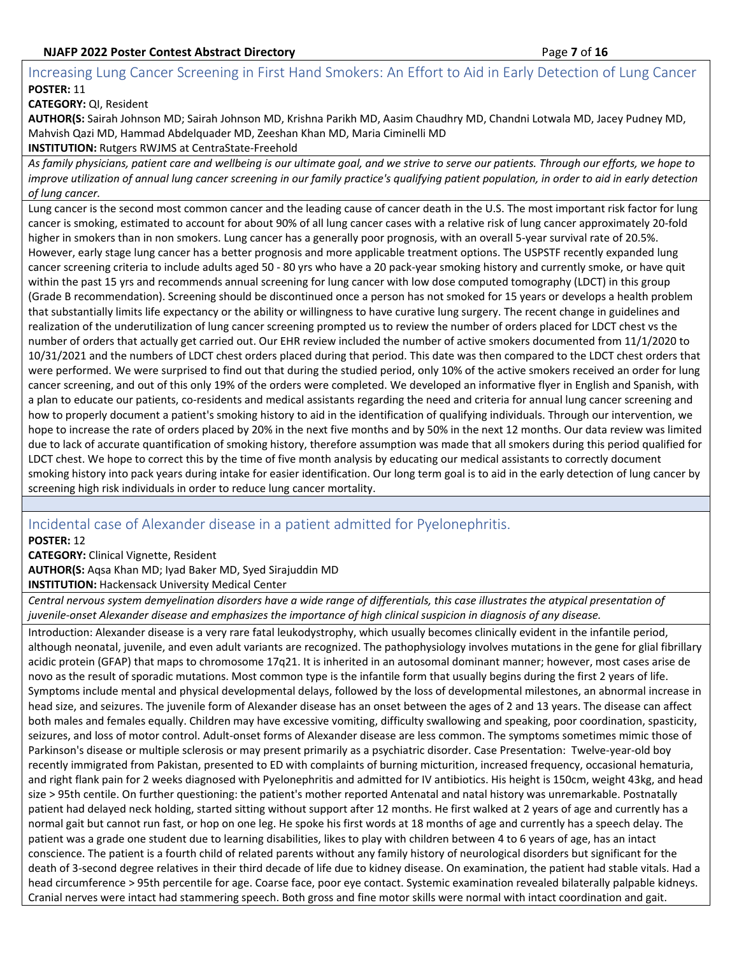## <span id="page-6-0"></span>Increasing Lung Cancer Screening in First Hand Smokers: An Effort to Aid in Early Detection of Lung Cancer **POSTER:** 11

**CATEGORY:** QI, Resident

**AUTHOR(S:** Sairah Johnson MD; Sairah Johnson MD, Krishna Parikh MD, Aasim Chaudhry MD, Chandni Lotwala MD, Jacey Pudney MD, Mahvish Qazi MD, Hammad Abdelquader MD, Zeeshan Khan MD, Maria Ciminelli MD

**INSTITUTION:** Rutgers RWJMS at CentraState-Freehold

*As family physicians, patient care and wellbeing is our ultimate goal, and we strive to serve our patients. Through our efforts, we hope to improve utilization of annual lung cancer screening in our family practice's qualifying patient population, in order to aid in early detection of lung cancer.*

Lung cancer is the second most common cancer and the leading cause of cancer death in the U.S. The most important risk factor for lung cancer is smoking, estimated to account for about 90% of all lung cancer cases with a relative risk of lung cancer approximately 20-fold higher in smokers than in non smokers. Lung cancer has a generally poor prognosis, with an overall 5-year survival rate of 20.5%. However, early stage lung cancer has a better prognosis and more applicable treatment options. The USPSTF recently expanded lung cancer screening criteria to include adults aged 50 - 80 yrs who have a 20 pack-year smoking history and currently smoke, or have quit within the past 15 yrs and recommends annual screening for lung cancer with low dose computed tomography (LDCT) in this group (Grade B recommendation). Screening should be discontinued once a person has not smoked for 15 years or develops a health problem that substantially limits life expectancy or the ability or willingness to have curative lung surgery. The recent change in guidelines and realization of the underutilization of lung cancer screening prompted us to review the number of orders placed for LDCT chest vs the number of orders that actually get carried out. Our EHR review included the number of active smokers documented from 11/1/2020 to 10/31/2021 and the numbers of LDCT chest orders placed during that period. This date was then compared to the LDCT chest orders that were performed. We were surprised to find out that during the studied period, only 10% of the active smokers received an order for lung cancer screening, and out of this only 19% of the orders were completed. We developed an informative flyer in English and Spanish, with a plan to educate our patients, co-residents and medical assistants regarding the need and criteria for annual lung cancer screening and how to properly document a patient's smoking history to aid in the identification of qualifying individuals. Through our intervention, we hope to increase the rate of orders placed by 20% in the next five months and by 50% in the next 12 months. Our data review was limited due to lack of accurate quantification of smoking history, therefore assumption was made that all smokers during this period qualified for LDCT chest. We hope to correct this by the time of five month analysis by educating our medical assistants to correctly document smoking history into pack years during intake for easier identification. Our long term goal is to aid in the early detection of lung cancer by screening high risk individuals in order to reduce lung cancer mortality.

## <span id="page-6-1"></span>Incidental case of Alexander disease in a patient admitted for Pyelonephritis.

**POSTER:** 12

**CATEGORY:** Clinical Vignette, Resident

**AUTHOR(S:** Aqsa Khan MD; Iyad Baker MD, Syed Sirajuddin MD

**INSTITUTION:** Hackensack University Medical Center

*Central nervous system demyelination disorders have a wide range of differentials, this case illustrates the atypical presentation of juvenile-onset Alexander disease and emphasizes the importance of high clinical suspicion in diagnosis of any disease.*

Introduction: Alexander disease is a very rare fatal leukodystrophy, which usually becomes clinically evident in the infantile period, although neonatal, juvenile, and even adult variants are recognized. The pathophysiology involves mutations in the gene for glial fibrillary acidic protein (GFAP) that maps to chromosome 17q21. It is inherited in an autosomal dominant manner; however, most cases arise de novo as the result of sporadic mutations. Most common type is the infantile form that usually begins during the first 2 years of life. Symptoms include mental and physical developmental delays, followed by the loss of developmental milestones, an abnormal increase in head size, and seizures. The juvenile form of Alexander disease has an onset between the ages of 2 and 13 years. The disease can affect both males and females equally. Children may have excessive vomiting, difficulty swallowing and speaking, poor coordination, spasticity, seizures, and loss of motor control. Adult-onset forms of Alexander disease are less common. The symptoms sometimes mimic those of Parkinson's disease or multiple sclerosis or may present primarily as a psychiatric disorder. Case Presentation: Twelve-year-old boy recently immigrated from Pakistan, presented to ED with complaints of burning micturition, increased frequency, occasional hematuria, and right flank pain for 2 weeks diagnosed with Pyelonephritis and admitted for IV antibiotics. His height is 150cm, weight 43kg, and head size > 95th centile. On further questioning: the patient's mother reported Antenatal and natal history was unremarkable. Postnatally patient had delayed neck holding, started sitting without support after 12 months. He first walked at 2 years of age and currently has a normal gait but cannot run fast, or hop on one leg. He spoke his first words at 18 months of age and currently has a speech delay. The patient was a grade one student due to learning disabilities, likes to play with children between 4 to 6 years of age, has an intact conscience. The patient is a fourth child of related parents without any family history of neurological disorders but significant for the death of 3-second degree relatives in their third decade of life due to kidney disease. On examination, the patient had stable vitals. Had a head circumference > 95th percentile for age. Coarse face, poor eye contact. Systemic examination revealed bilaterally palpable kidneys. Cranial nerves were intact had stammering speech. Both gross and fine motor skills were normal with intact coordination and gait.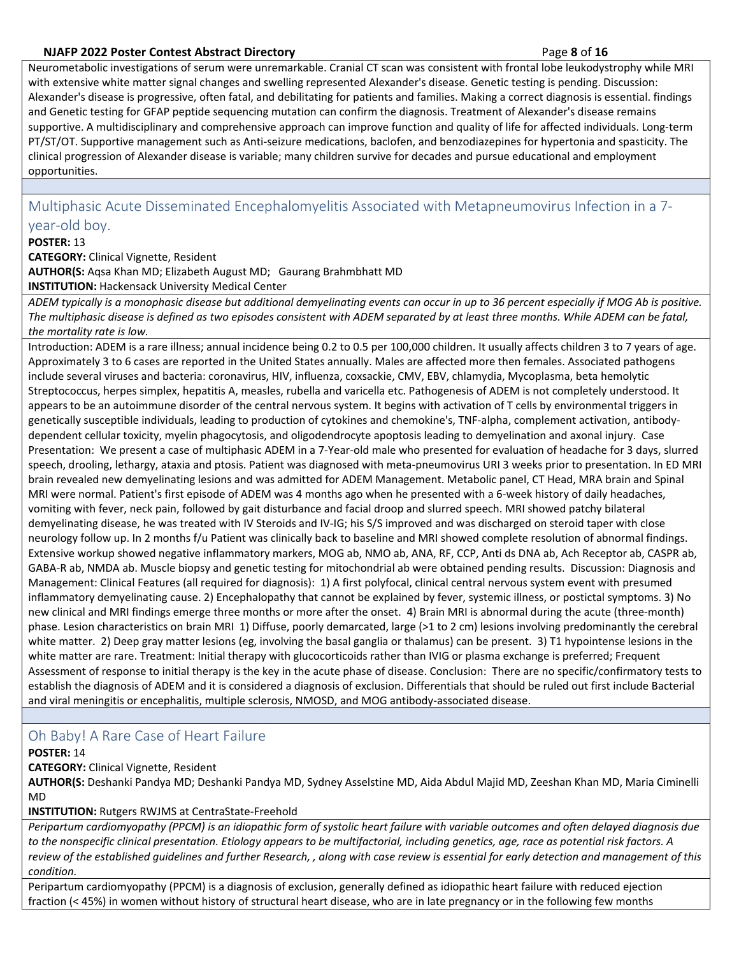## **NJAFP 2022 Poster Contest Abstract Directory** Page **8** of **16**

Neurometabolic investigations of serum were unremarkable. Cranial CT scan was consistent with frontal lobe leukodystrophy while MRI with extensive white matter signal changes and swelling represented Alexander's disease. Genetic testing is pending. Discussion: Alexander's disease is progressive, often fatal, and debilitating for patients and families. Making a correct diagnosis is essential. findings and Genetic testing for GFAP peptide sequencing mutation can confirm the diagnosis. Treatment of Alexander's disease remains supportive. A multidisciplinary and comprehensive approach can improve function and quality of life for affected individuals. Long-term PT/ST/OT. Supportive management such as Anti-seizure medications, baclofen, and benzodiazepines for hypertonia and spasticity. The clinical progression of Alexander disease is variable; many children survive for decades and pursue educational and employment opportunities.

<span id="page-7-0"></span>Multiphasic Acute Disseminated Encephalomyelitis Associated with Metapneumovirus Infection in a 7 year-old boy.

### **POSTER:** 13

**CATEGORY:** Clinical Vignette, Resident **AUTHOR(S:** Aqsa Khan MD; Elizabeth August MD; Gaurang Brahmbhatt MD **INSTITUTION:** Hackensack University Medical Center

*ADEM typically is a monophasic disease but additional demyelinating events can occur in up to 36 percent especially if MOG Ab is positive. The multiphasic disease is defined as two episodes consistent with ADEM separated by at least three months. While ADEM can be fatal, the mortality rate is low.*

Introduction: ADEM is a rare illness; annual incidence being 0.2 to 0.5 per 100,000 children. It usually affects children 3 to 7 years of age. Approximately 3 to 6 cases are reported in the United States annually. Males are affected more then females. Associated pathogens include several viruses and bacteria: coronavirus, HIV, influenza, coxsackie, CMV, EBV, chlamydia, Mycoplasma, beta hemolytic Streptococcus, herpes simplex, hepatitis A, measles, rubella and varicella etc. Pathogenesis of ADEM is not completely understood. It appears to be an autoimmune disorder of the central nervous system. It begins with activation of T cells by environmental triggers in genetically susceptible individuals, leading to production of cytokines and chemokine's, TNF-alpha, complement activation, antibodydependent cellular toxicity, myelin phagocytosis, and oligodendrocyte apoptosis leading to demyelination and axonal injury. Case Presentation: We present a case of multiphasic ADEM in a 7-Year-old male who presented for evaluation of headache for 3 days, slurred speech, drooling, lethargy, ataxia and ptosis. Patient was diagnosed with meta-pneumovirus URI 3 weeks prior to presentation. In ED MRI brain revealed new demyelinating lesions and was admitted for ADEM Management. Metabolic panel, CT Head, MRA brain and Spinal MRI were normal. Patient's first episode of ADEM was 4 months ago when he presented with a 6-week history of daily headaches, vomiting with fever, neck pain, followed by gait disturbance and facial droop and slurred speech. MRI showed patchy bilateral demyelinating disease, he was treated with IV Steroids and IV-IG; his S/S improved and was discharged on steroid taper with close neurology follow up. In 2 months f/u Patient was clinically back to baseline and MRI showed complete resolution of abnormal findings. Extensive workup showed negative inflammatory markers, MOG ab, NMO ab, ANA, RF, CCP, Anti ds DNA ab, Ach Receptor ab, CASPR ab, GABA-R ab, NMDA ab. Muscle biopsy and genetic testing for mitochondrial ab were obtained pending results. Discussion: Diagnosis and Management: Clinical Features (all required for diagnosis): 1) A first polyfocal, clinical central nervous system event with presumed inflammatory demyelinating cause. 2) Encephalopathy that cannot be explained by fever, systemic illness, or postictal symptoms. 3) No new clinical and MRI findings emerge three months or more after the onset. 4) Brain MRI is abnormal during the acute (three-month) phase. Lesion characteristics on brain MRI 1) Diffuse, poorly demarcated, large (>1 to 2 cm) lesions involving predominantly the cerebral white matter. 2) Deep gray matter lesions (eg, involving the basal ganglia or thalamus) can be present. 3) T1 hypointense lesions in the white matter are rare. Treatment: Initial therapy with glucocorticoids rather than IVIG or plasma exchange is preferred; Frequent Assessment of response to initial therapy is the key in the acute phase of disease. Conclusion: There are no specific/confirmatory tests to establish the diagnosis of ADEM and it is considered a diagnosis of exclusion. Differentials that should be ruled out first include Bacterial and viral meningitis or encephalitis, multiple sclerosis, NMOSD, and MOG antibody-associated disease.

## <span id="page-7-1"></span>Oh Baby! A Rare Case of Heart Failure

#### **POSTER:** 14

**CATEGORY:** Clinical Vignette, Resident

**AUTHOR(S:** Deshanki Pandya MD; Deshanki Pandya MD, Sydney Asselstine MD, Aida Abdul Majid MD, Zeeshan Khan MD, Maria Ciminelli MD

#### **INSTITUTION:** Rutgers RWJMS at CentraState-Freehold

*Peripartum cardiomyopathy (PPCM) is an idiopathic form of systolic heart failure with variable outcomes and often delayed diagnosis due to the nonspecific clinical presentation. Etiology appears to be multifactorial, including genetics, age, race as potential risk factors. A review of the established guidelines and further Research, , along with case review is essential for early detection and management of this condition.*

Peripartum cardiomyopathy (PPCM) is a diagnosis of exclusion, generally defined as idiopathic heart failure with reduced ejection fraction (< 45%) in women without history of structural heart disease, who are in late pregnancy or in the following few months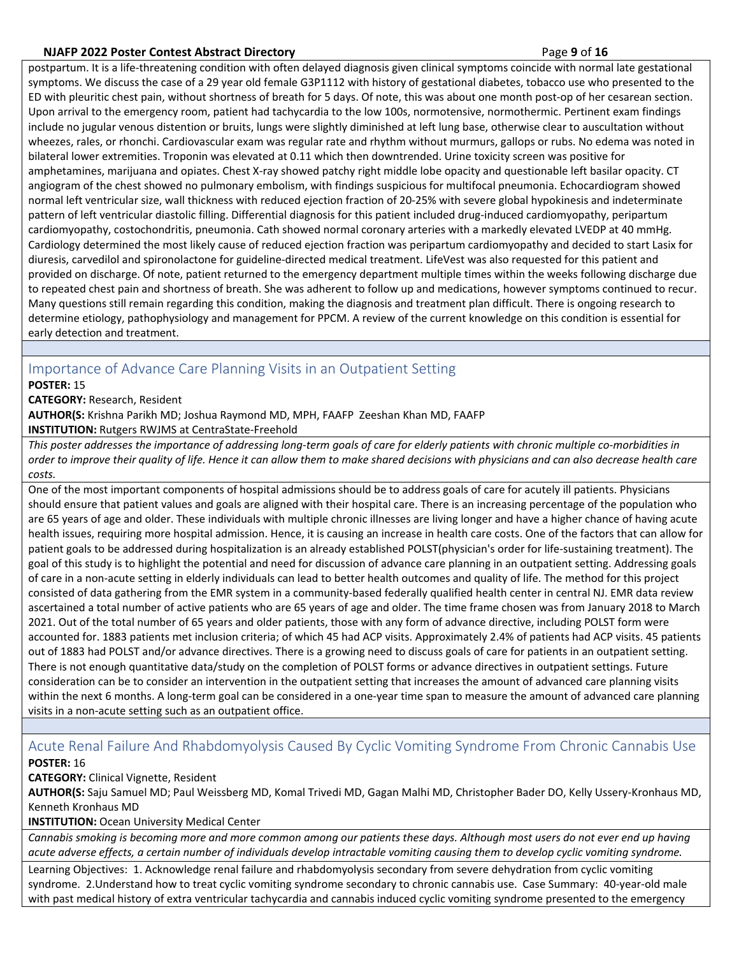### **NJAFP 2022 Poster Contest Abstract Directory** Page **9** of **16**

postpartum. It is a life-threatening condition with often delayed diagnosis given clinical symptoms coincide with normal late gestational symptoms. We discuss the case of a 29 year old female G3P1112 with history of gestational diabetes, tobacco use who presented to the ED with pleuritic chest pain, without shortness of breath for 5 days. Of note, this was about one month post-op of her cesarean section. Upon arrival to the emergency room, patient had tachycardia to the low 100s, normotensive, normothermic. Pertinent exam findings include no jugular venous distention or bruits, lungs were slightly diminished at left lung base, otherwise clear to auscultation without wheezes, rales, or rhonchi. Cardiovascular exam was regular rate and rhythm without murmurs, gallops or rubs. No edema was noted in bilateral lower extremities. Troponin was elevated at 0.11 which then downtrended. Urine toxicity screen was positive for amphetamines, marijuana and opiates. Chest X-ray showed patchy right middle lobe opacity and questionable left basilar opacity. CT angiogram of the chest showed no pulmonary embolism, with findings suspicious for multifocal pneumonia. Echocardiogram showed normal left ventricular size, wall thickness with reduced ejection fraction of 20-25% with severe global hypokinesis and indeterminate pattern of left ventricular diastolic filling. Differential diagnosis for this patient included drug-induced cardiomyopathy, peripartum cardiomyopathy, costochondritis, pneumonia. Cath showed normal coronary arteries with a markedly elevated LVEDP at 40 mmHg. Cardiology determined the most likely cause of reduced ejection fraction was peripartum cardiomyopathy and decided to start Lasix for diuresis, carvedilol and spironolactone for guideline-directed medical treatment. LifeVest was also requested for this patient and provided on discharge. Of note, patient returned to the emergency department multiple times within the weeks following discharge due to repeated chest pain and shortness of breath. She was adherent to follow up and medications, however symptoms continued to recur. Many questions still remain regarding this condition, making the diagnosis and treatment plan difficult. There is ongoing research to determine etiology, pathophysiology and management for PPCM. A review of the current knowledge on this condition is essential for early detection and treatment.

## <span id="page-8-0"></span>Importance of Advance Care Planning Visits in an Outpatient Setting

#### **POSTER:** 15

#### **CATEGORY:** Research, Resident

**AUTHOR(S:** Krishna Parikh MD; Joshua Raymond MD, MPH, FAAFP Zeeshan Khan MD, FAAFP **INSTITUTION:** Rutgers RWJMS at CentraState-Freehold

*This poster addresses the importance of addressing long-term goals of care for elderly patients with chronic multiple co-morbidities in order to improve their quality of life. Hence it can allow them to make shared decisions with physicians and can also decrease health care costs.*

One of the most important components of hospital admissions should be to address goals of care for acutely ill patients. Physicians should ensure that patient values and goals are aligned with their hospital care. There is an increasing percentage of the population who are 65 years of age and older. These individuals with multiple chronic illnesses are living longer and have a higher chance of having acute health issues, requiring more hospital admission. Hence, it is causing an increase in health care costs. One of the factors that can allow for patient goals to be addressed during hospitalization is an already established POLST(physician's order for life-sustaining treatment). The goal of this study is to highlight the potential and need for discussion of advance care planning in an outpatient setting. Addressing goals of care in a non-acute setting in elderly individuals can lead to better health outcomes and quality of life. The method for this project consisted of data gathering from the EMR system in a community-based federally qualified health center in central NJ. EMR data review ascertained a total number of active patients who are 65 years of age and older. The time frame chosen was from January 2018 to March 2021. Out of the total number of 65 years and older patients, those with any form of advance directive, including POLST form were accounted for. 1883 patients met inclusion criteria; of which 45 had ACP visits. Approximately 2.4% of patients had ACP visits. 45 patients out of 1883 had POLST and/or advance directives. There is a growing need to discuss goals of care for patients in an outpatient setting. There is not enough quantitative data/study on the completion of POLST forms or advance directives in outpatient settings. Future consideration can be to consider an intervention in the outpatient setting that increases the amount of advanced care planning visits within the next 6 months. A long-term goal can be considered in a one-year time span to measure the amount of advanced care planning visits in a non-acute setting such as an outpatient office.

## <span id="page-8-1"></span>Acute Renal Failure And Rhabdomyolysis Caused By Cyclic Vomiting Syndrome From Chronic Cannabis Use **POSTER:** 16

**CATEGORY:** Clinical Vignette, Resident

**AUTHOR(S:** Saju Samuel MD; Paul Weissberg MD, Komal Trivedi MD, Gagan Malhi MD, Christopher Bader DO, Kelly Ussery-Kronhaus MD, Kenneth Kronhaus MD

**INSTITUTION:** Ocean University Medical Center

*Cannabis smoking is becoming more and more common among our patients these days. Although most users do not ever end up having acute adverse effects, a certain number of individuals develop intractable vomiting causing them to develop cyclic vomiting syndrome.*

Learning Objectives: 1. Acknowledge renal failure and rhabdomyolysis secondary from severe dehydration from cyclic vomiting syndrome. 2.Understand how to treat cyclic vomiting syndrome secondary to chronic cannabis use. Case Summary: 40-year-old male with past medical history of extra ventricular tachycardia and cannabis induced cyclic vomiting syndrome presented to the emergency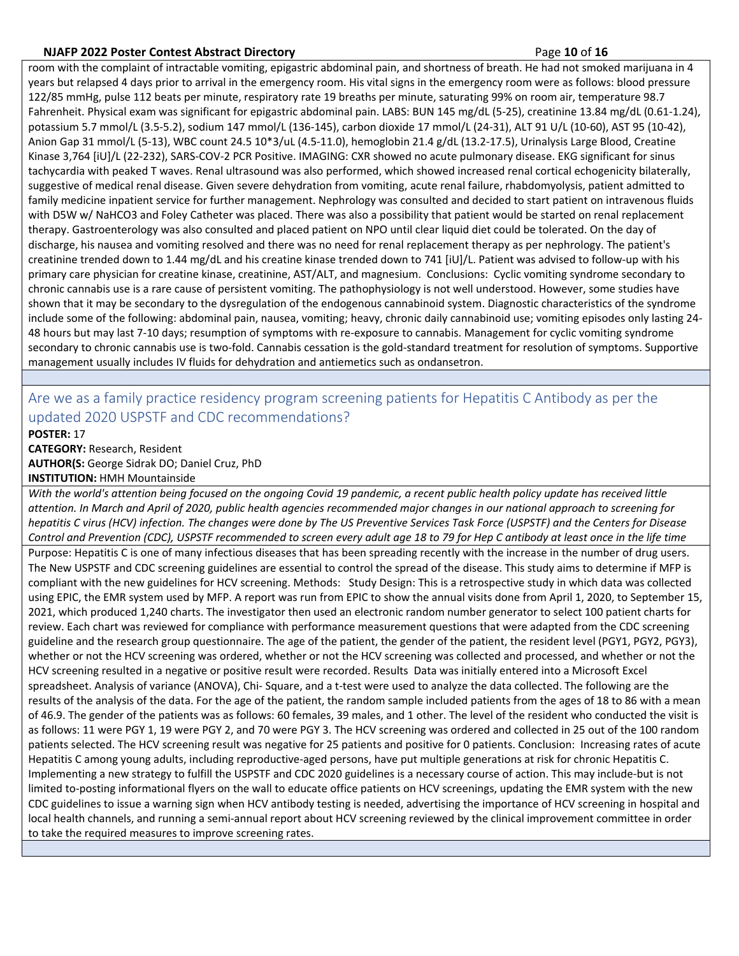#### **NJAFP 2022 Poster Contest Abstract Directory** Page **10** of **16**

room with the complaint of intractable vomiting, epigastric abdominal pain, and shortness of breath. He had not smoked marijuana in 4 years but relapsed 4 days prior to arrival in the emergency room. His vital signs in the emergency room were as follows: blood pressure 122/85 mmHg, pulse 112 beats per minute, respiratory rate 19 breaths per minute, saturating 99% on room air, temperature 98.7 Fahrenheit. Physical exam was significant for epigastric abdominal pain. LABS: BUN 145 mg/dL (5-25), creatinine 13.84 mg/dL (0.61-1.24), potassium 5.7 mmol/L (3.5-5.2), sodium 147 mmol/L (136-145), carbon dioxide 17 mmol/L (24-31), ALT 91 U/L (10-60), AST 95 (10-42), Anion Gap 31 mmol/L (5-13), WBC count 24.5 10\*3/uL (4.5-11.0), hemoglobin 21.4 g/dL (13.2-17.5), Urinalysis Large Blood, Creatine Kinase 3,764 [iU]/L (22-232), SARS-COV-2 PCR Positive. IMAGING: CXR showed no acute pulmonary disease. EKG significant for sinus tachycardia with peaked T waves. Renal ultrasound was also performed, which showed increased renal cortical echogenicity bilaterally, suggestive of medical renal disease. Given severe dehydration from vomiting, acute renal failure, rhabdomyolysis, patient admitted to family medicine inpatient service for further management. Nephrology was consulted and decided to start patient on intravenous fluids with D5W w/ NaHCO3 and Foley Catheter was placed. There was also a possibility that patient would be started on renal replacement therapy. Gastroenterology was also consulted and placed patient on NPO until clear liquid diet could be tolerated. On the day of discharge, his nausea and vomiting resolved and there was no need for renal replacement therapy as per nephrology. The patient's creatinine trended down to 1.44 mg/dL and his creatine kinase trended down to 741 [iU]/L. Patient was advised to follow-up with his primary care physician for creatine kinase, creatinine, AST/ALT, and magnesium. Conclusions: Cyclic vomiting syndrome secondary to chronic cannabis use is a rare cause of persistent vomiting. The pathophysiology is not well understood. However, some studies have shown that it may be secondary to the dysregulation of the endogenous cannabinoid system. Diagnostic characteristics of the syndrome include some of the following: abdominal pain, nausea, vomiting; heavy, chronic daily cannabinoid use; vomiting episodes only lasting 24- 48 hours but may last 7-10 days; resumption of symptoms with re-exposure to cannabis. Management for cyclic vomiting syndrome secondary to chronic cannabis use is two-fold. Cannabis cessation is the gold-standard treatment for resolution of symptoms. Supportive management usually includes IV fluids for dehydration and antiemetics such as ondansetron.

## <span id="page-9-0"></span>Are we as a family practice residency program screening patients for Hepatitis C Antibody as per the updated 2020 USPSTF and CDC recommendations?

**POSTER:** 17 **CATEGORY:** Research, Resident **AUTHOR(S:** George Sidrak DO; Daniel Cruz, PhD **INSTITUTION:** HMH Mountainside

*With the world's attention being focused on the ongoing Covid 19 pandemic, a recent public health policy update has received little attention. In March and April of 2020, public health agencies recommended major changes in our national approach to screening for hepatitis C virus (HCV) infection. The changes were done by The US Preventive Services Task Force (USPSTF) and the Centers for Disease Control and Prevention (CDC), USPSTF recommended to screen every adult age 18 to 79 for Hep C antibody at least once in the life time* Purpose: Hepatitis C is one of many infectious diseases that has been spreading recently with the increase in the number of drug users. The New USPSTF and CDC screening guidelines are essential to control the spread of the disease. This study aims to determine if MFP is compliant with the new guidelines for HCV screening. Methods: Study Design: This is a retrospective study in which data was collected using EPIC, the EMR system used by MFP. A report was run from EPIC to show the annual visits done from April 1, 2020, to September 15, 2021, which produced 1,240 charts. The investigator then used an electronic random number generator to select 100 patient charts for review. Each chart was reviewed for compliance with performance measurement questions that were adapted from the CDC screening guideline and the research group questionnaire. The age of the patient, the gender of the patient, the resident level (PGY1, PGY2, PGY3), whether or not the HCV screening was ordered, whether or not the HCV screening was collected and processed, and whether or not the HCV screening resulted in a negative or positive result were recorded. Results Data was initially entered into a Microsoft Excel spreadsheet. Analysis of variance (ANOVA), Chi- Square, and a t-test were used to analyze the data collected. The following are the results of the analysis of the data. For the age of the patient, the random sample included patients from the ages of 18 to 86 with a mean of 46.9. The gender of the patients was as follows: 60 females, 39 males, and 1 other. The level of the resident who conducted the visit is as follows: 11 were PGY 1, 19 were PGY 2, and 70 were PGY 3. The HCV screening was ordered and collected in 25 out of the 100 random patients selected. The HCV screening result was negative for 25 patients and positive for 0 patients. Conclusion: Increasing rates of acute Hepatitis C among young adults, including reproductive-aged persons, have put multiple generations at risk for chronic Hepatitis C. Implementing a new strategy to fulfill the USPSTF and CDC 2020 guidelines is a necessary course of action. This may include-but is not limited to-posting informational flyers on the wall to educate office patients on HCV screenings, updating the EMR system with the new CDC guidelines to issue a warning sign when HCV antibody testing is needed, advertising the importance of HCV screening in hospital and local health channels, and running a semi-annual report about HCV screening reviewed by the clinical improvement committee in order to take the required measures to improve screening rates.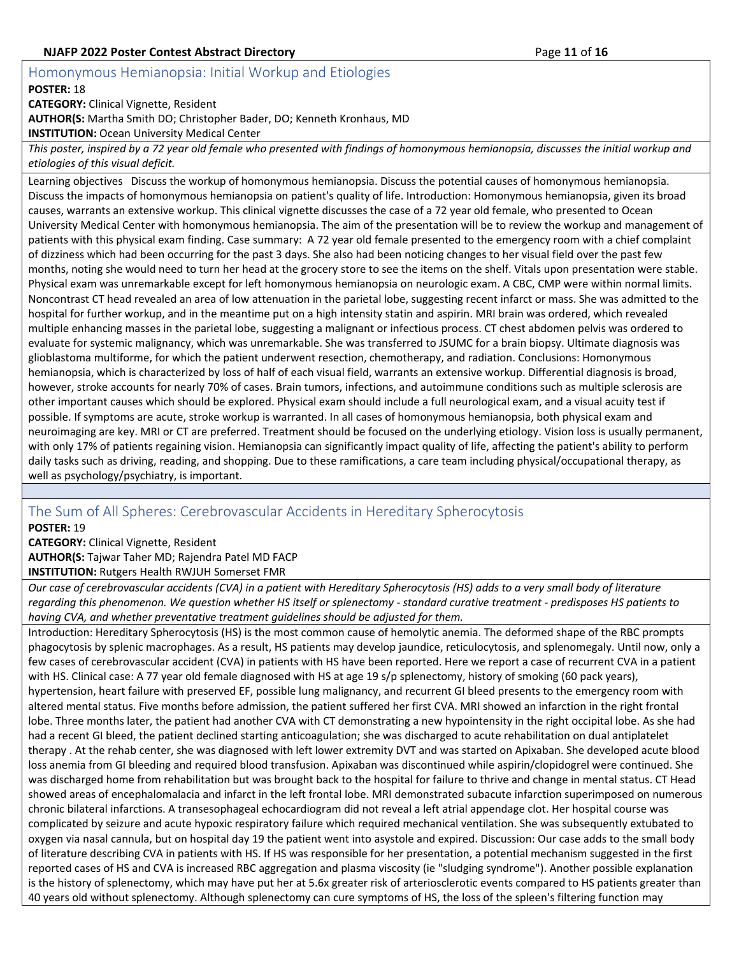## **NJAFP 2022 Poster Contest Abstract Directory <b>Page 11** of 16 and **Page 11** of 16

## <span id="page-10-0"></span>Homonymous Hemianopsia: Initial Workup and Etiologies

#### **POSTER:** 18

**CATEGORY:** Clinical Vignette, Resident

**AUTHOR(S:** Martha Smith DO; Christopher Bader, DO; Kenneth Kronhaus, MD

**INSTITUTION:** Ocean University Medical Center

*This poster, inspired by a 72 year old female who presented with findings of homonymous hemianopsia, discusses the initial workup and etiologies of this visual deficit.*

Learning objectives Discuss the workup of homonymous hemianopsia. Discuss the potential causes of homonymous hemianopsia. Discuss the impacts of homonymous hemianopsia on patient's quality of life. Introduction: Homonymous hemianopsia, given its broad causes, warrants an extensive workup. This clinical vignette discusses the case of a 72 year old female, who presented to Ocean University Medical Center with homonymous hemianopsia. The aim of the presentation will be to review the workup and management of patients with this physical exam finding. Case summary: A 72 year old female presented to the emergency room with a chief complaint of dizziness which had been occurring for the past 3 days. She also had been noticing changes to her visual field over the past few months, noting she would need to turn her head at the grocery store to see the items on the shelf. Vitals upon presentation were stable. Physical exam was unremarkable except for left homonymous hemianopsia on neurologic exam. A CBC, CMP were within normal limits. Noncontrast CT head revealed an area of low attenuation in the parietal lobe, suggesting recent infarct or mass. She was admitted to the hospital for further workup, and in the meantime put on a high intensity statin and aspirin. MRI brain was ordered, which revealed multiple enhancing masses in the parietal lobe, suggesting a malignant or infectious process. CT chest abdomen pelvis was ordered to evaluate for systemic malignancy, which was unremarkable. She was transferred to JSUMC for a brain biopsy. Ultimate diagnosis was glioblastoma multiforme, for which the patient underwent resection, chemotherapy, and radiation. Conclusions: Homonymous hemianopsia, which is characterized by loss of half of each visual field, warrants an extensive workup. Differential diagnosis is broad, however, stroke accounts for nearly 70% of cases. Brain tumors, infections, and autoimmune conditions such as multiple sclerosis are other important causes which should be explored. Physical exam should include a full neurological exam, and a visual acuity test if possible. If symptoms are acute, stroke workup is warranted. In all cases of homonymous hemianopsia, both physical exam and neuroimaging are key. MRI or CT are preferred. Treatment should be focused on the underlying etiology. Vision loss is usually permanent, with only 17% of patients regaining vision. Hemianopsia can significantly impact quality of life, affecting the patient's ability to perform daily tasks such as driving, reading, and shopping. Due to these ramifications, a care team including physical/occupational therapy, as well as psychology/psychiatry, is important.

## <span id="page-10-1"></span>The Sum of All Spheres: Cerebrovascular Accidents in Hereditary Spherocytosis

**POSTER:** 19

**CATEGORY:** Clinical Vignette, Resident **AUTHOR(S:** Tajwar Taher MD; Rajendra Patel MD FACP **INSTITUTION:** Rutgers Health RWJUH Somerset FMR

*Our case of cerebrovascular accidents (CVA) in a patient with Hereditary Spherocytosis (HS) adds to a very small body of literature regarding this phenomenon. We question whether HS itself or splenectomy - standard curative treatment - predisposes HS patients to having CVA, and whether preventative treatment guidelines should be adjusted for them.*

Introduction: Hereditary Spherocytosis (HS) is the most common cause of hemolytic anemia. The deformed shape of the RBC prompts phagocytosis by splenic macrophages. As a result, HS patients may develop jaundice, reticulocytosis, and splenomegaly. Until now, only a few cases of cerebrovascular accident (CVA) in patients with HS have been reported. Here we report a case of recurrent CVA in a patient with HS. Clinical case: A 77 year old female diagnosed with HS at age 19 s/p splenectomy, history of smoking (60 pack years), hypertension, heart failure with preserved EF, possible lung malignancy, and recurrent GI bleed presents to the emergency room with altered mental status. Five months before admission, the patient suffered her first CVA. MRI showed an infarction in the right frontal lobe. Three months later, the patient had another CVA with CT demonstrating a new hypointensity in the right occipital lobe. As she had had a recent GI bleed, the patient declined starting anticoagulation; she was discharged to acute rehabilitation on dual antiplatelet therapy . At the rehab center, she was diagnosed with left lower extremity DVT and was started on Apixaban. She developed acute blood loss anemia from GI bleeding and required blood transfusion. Apixaban was discontinued while aspirin/clopidogrel were continued. She was discharged home from rehabilitation but was brought back to the hospital for failure to thrive and change in mental status. CT Head showed areas of encephalomalacia and infarct in the left frontal lobe. MRI demonstrated subacute infarction superimposed on numerous chronic bilateral infarctions. A transesophageal echocardiogram did not reveal a left atrial appendage clot. Her hospital course was complicated by seizure and acute hypoxic respiratory failure which required mechanical ventilation. She was subsequently extubated to oxygen via nasal cannula, but on hospital day 19 the patient went into asystole and expired. Discussion: Our case adds to the small body of literature describing CVA in patients with HS. If HS was responsible for her presentation, a potential mechanism suggested in the first reported cases of HS and CVA is increased RBC aggregation and plasma viscosity (ie "sludging syndrome"). Another possible explanation is the history of splenectomy, which may have put her at 5.6x greater risk of arteriosclerotic events compared to HS patients greater than 40 years old without splenectomy. Although splenectomy can cure symptoms of HS, the loss of the spleen's filtering function may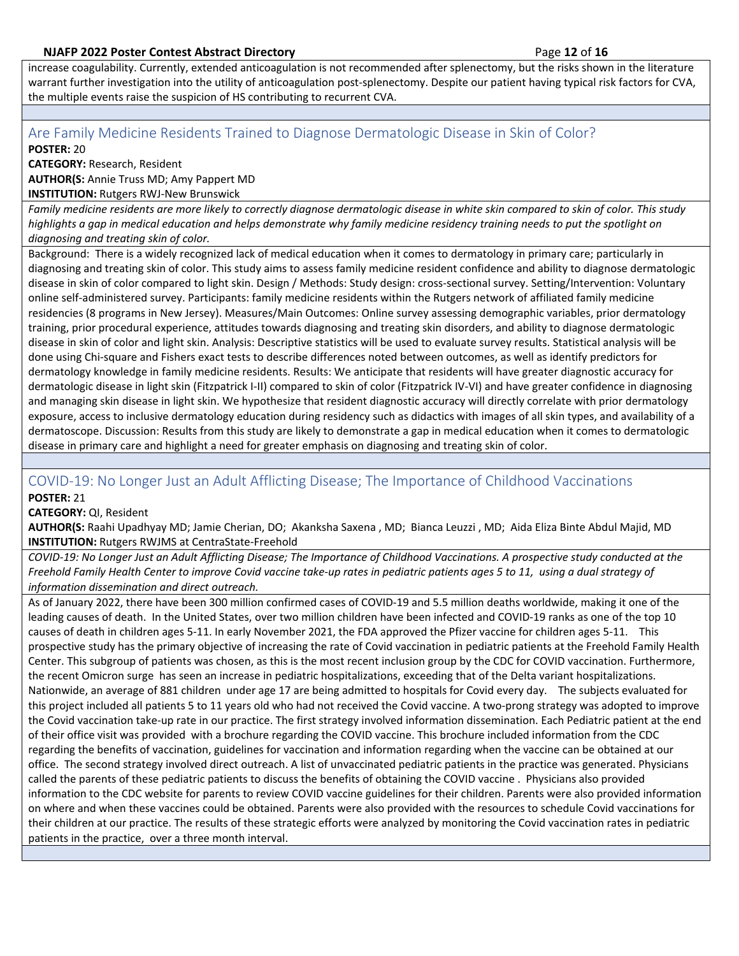increase coagulability. Currently, extended anticoagulation is not recommended after splenectomy, but the risks shown in the literature warrant further investigation into the utility of anticoagulation post-splenectomy. Despite our patient having typical risk factors for CVA, the multiple events raise the suspicion of HS contributing to recurrent CVA.

# <span id="page-11-0"></span>Are Family Medicine Residents Trained to Diagnose Dermatologic Disease in Skin of Color?

**POSTER:** 20

**CATEGORY:** Research, Resident **AUTHOR(S:** Annie Truss MD; Amy Pappert MD

**INSTITUTION:** Rutgers RWJ-New Brunswick

*Family medicine residents are more likely to correctly diagnose dermatologic disease in white skin compared to skin of color. This study highlights a gap in medical education and helps demonstrate why family medicine residency training needs to put the spotlight on diagnosing and treating skin of color.*

Background: There is a widely recognized lack of medical education when it comes to dermatology in primary care; particularly in diagnosing and treating skin of color. This study aims to assess family medicine resident confidence and ability to diagnose dermatologic disease in skin of color compared to light skin. Design / Methods: Study design: cross-sectional survey. Setting/Intervention: Voluntary online self-administered survey. Participants: family medicine residents within the Rutgers network of affiliated family medicine residencies (8 programs in New Jersey). Measures/Main Outcomes: Online survey assessing demographic variables, prior dermatology training, prior procedural experience, attitudes towards diagnosing and treating skin disorders, and ability to diagnose dermatologic disease in skin of color and light skin. Analysis: Descriptive statistics will be used to evaluate survey results. Statistical analysis will be done using Chi-square and Fishers exact tests to describe differences noted between outcomes, as well as identify predictors for dermatology knowledge in family medicine residents. Results: We anticipate that residents will have greater diagnostic accuracy for dermatologic disease in light skin (Fitzpatrick I-II) compared to skin of color (Fitzpatrick IV-VI) and have greater confidence in diagnosing and managing skin disease in light skin. We hypothesize that resident diagnostic accuracy will directly correlate with prior dermatology exposure, access to inclusive dermatology education during residency such as didactics with images of all skin types, and availability of a dermatoscope. Discussion: Results from this study are likely to demonstrate a gap in medical education when it comes to dermatologic disease in primary care and highlight a need for greater emphasis on diagnosing and treating skin of color.

## <span id="page-11-1"></span>COVID-19: No Longer Just an Adult Afflicting Disease; The Importance of Childhood Vaccinations

**POSTER:** 21

**CATEGORY:** QI, Resident

**AUTHOR(S:** Raahi Upadhyay MD; Jamie Cherian, DO; Akanksha Saxena , MD; Bianca Leuzzi , MD; Aida Eliza Binte Abdul Majid, MD **INSTITUTION:** Rutgers RWJMS at CentraState-Freehold

*COVID-19: No Longer Just an Adult Afflicting Disease; The Importance of Childhood Vaccinations. A prospective study conducted at the Freehold Family Health Center to improve Covid vaccine take-up rates in pediatric patients ages 5 to 11, using a dual strategy of information dissemination and direct outreach.*

As of January 2022, there have been 300 million confirmed cases of COVID-19 and 5.5 million deaths worldwide, making it one of the leading causes of death. In the United States, over two million children have been infected and COVID-19 ranks as one of the top 10 causes of death in children ages 5-11. In early November 2021, the FDA approved the Pfizer vaccine for children ages 5-11. This prospective study has the primary objective of increasing the rate of Covid vaccination in pediatric patients at the Freehold Family Health Center. This subgroup of patients was chosen, as this is the most recent inclusion group by the CDC for COVID vaccination. Furthermore, the recent Omicron surge has seen an increase in pediatric hospitalizations, exceeding that of the Delta variant hospitalizations. Nationwide, an average of 881 children under age 17 are being admitted to hospitals for Covid every day. The subjects evaluated for this project included all patients 5 to 11 years old who had not received the Covid vaccine. A two-prong strategy was adopted to improve the Covid vaccination take-up rate in our practice. The first strategy involved information dissemination. Each Pediatric patient at the end of their office visit was provided with a brochure regarding the COVID vaccine. This brochure included information from the CDC regarding the benefits of vaccination, guidelines for vaccination and information regarding when the vaccine can be obtained at our office. The second strategy involved direct outreach. A list of unvaccinated pediatric patients in the practice was generated. Physicians called the parents of these pediatric patients to discuss the benefits of obtaining the COVID vaccine . Physicians also provided information to the CDC website for parents to review COVID vaccine guidelines for their children. Parents were also provided information on where and when these vaccines could be obtained. Parents were also provided with the resources to schedule Covid vaccinations for their children at our practice. The results of these strategic efforts were analyzed by monitoring the Covid vaccination rates in pediatric patients in the practice, over a three month interval.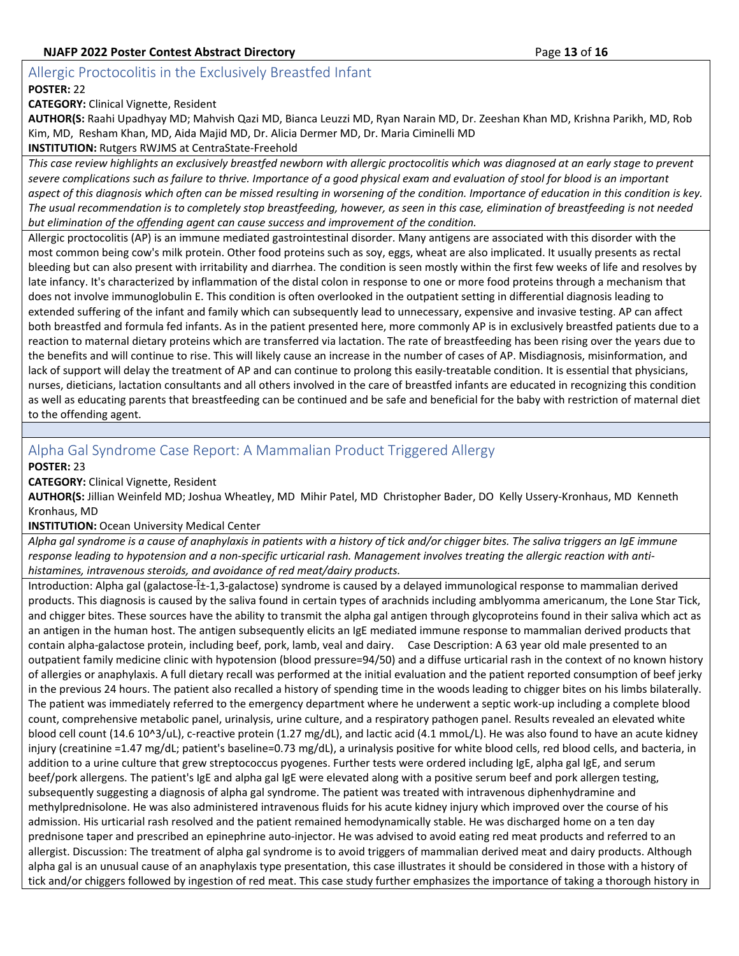## <span id="page-12-0"></span>Allergic Proctocolitis in the Exclusively Breastfed Infant

#### **POSTER:** 22

**CATEGORY:** Clinical Vignette, Resident

**AUTHOR(S:** Raahi Upadhyay MD; Mahvish Qazi MD, Bianca Leuzzi MD, Ryan Narain MD, Dr. Zeeshan Khan MD, Krishna Parikh, MD, Rob Kim, MD, Resham Khan, MD, Aida Majid MD, Dr. Alicia Dermer MD, Dr. Maria Ciminelli MD

**INSTITUTION:** Rutgers RWJMS at CentraState-Freehold

*This case review highlights an exclusively breastfed newborn with allergic proctocolitis which was diagnosed at an early stage to prevent severe complications such as failure to thrive. Importance of a good physical exam and evaluation of stool for blood is an important aspect of this diagnosis which often can be missed resulting in worsening of the condition. Importance of education in this condition is key. The usual recommendation is to completely stop breastfeeding, however, as seen in this case, elimination of breastfeeding is not needed but elimination of the offending agent can cause success and improvement of the condition.*

Allergic proctocolitis (AP) is an immune mediated gastrointestinal disorder. Many antigens are associated with this disorder with the most common being cow's milk protein. Other food proteins such as soy, eggs, wheat are also implicated. It usually presents as rectal bleeding but can also present with irritability and diarrhea. The condition is seen mostly within the first few weeks of life and resolves by late infancy. It's characterized by inflammation of the distal colon in response to one or more food proteins through a mechanism that does not involve immunoglobulin E. This condition is often overlooked in the outpatient setting in differential diagnosis leading to extended suffering of the infant and family which can subsequently lead to unnecessary, expensive and invasive testing. AP can affect both breastfed and formula fed infants. As in the patient presented here, more commonly AP is in exclusively breastfed patients due to a reaction to maternal dietary proteins which are transferred via lactation. The rate of breastfeeding has been rising over the years due to the benefits and will continue to rise. This will likely cause an increase in the number of cases of AP. Misdiagnosis, misinformation, and lack of support will delay the treatment of AP and can continue to prolong this easily-treatable condition. It is essential that physicians, nurses, dieticians, lactation consultants and all others involved in the care of breastfed infants are educated in recognizing this condition as well as educating parents that breastfeeding can be continued and be safe and beneficial for the baby with restriction of maternal diet to the offending agent.

## <span id="page-12-1"></span>Alpha Gal Syndrome Case Report: A Mammalian Product Triggered Allergy

**POSTER:** 23

**CATEGORY:** Clinical Vignette, Resident

**AUTHOR(S:** Jillian Weinfeld MD; Joshua Wheatley, MD Mihir Patel, MD Christopher Bader, DO Kelly Ussery-Kronhaus, MD Kenneth Kronhaus, MD

#### **INSTITUTION:** Ocean University Medical Center

*Alpha gal syndrome is a cause of anaphylaxis in patients with a history of tick and/or chigger bites. The saliva triggers an IgE immune response leading to hypotension and a non-specific urticarial rash. Management involves treating the allergic reaction with antihistamines, intravenous steroids, and avoidance of red meat/dairy products.*

Introduction: Alpha gal (galactose- $\hat{i}$ -1,3-galactose) syndrome is caused by a delayed immunological response to mammalian derived products. This diagnosis is caused by the saliva found in certain types of arachnids including amblyomma americanum, the Lone Star Tick, and chigger bites. These sources have the ability to transmit the alpha gal antigen through glycoproteins found in their saliva which act as an antigen in the human host. The antigen subsequently elicits an IgE mediated immune response to mammalian derived products that contain alpha-galactose protein, including beef, pork, lamb, veal and dairy. Case Description: A 63 year old male presented to an outpatient family medicine clinic with hypotension (blood pressure=94/50) and a diffuse urticarial rash in the context of no known history of allergies or anaphylaxis. A full dietary recall was performed at the initial evaluation and the patient reported consumption of beef jerky in the previous 24 hours. The patient also recalled a history of spending time in the woods leading to chigger bites on his limbs bilaterally. The patient was immediately referred to the emergency department where he underwent a septic work-up including a complete blood count, comprehensive metabolic panel, urinalysis, urine culture, and a respiratory pathogen panel. Results revealed an elevated white blood cell count (14.6 10^3/uL), c-reactive protein (1.27 mg/dL), and lactic acid (4.1 mmoL/L). He was also found to have an acute kidney injury (creatinine =1.47 mg/dL; patient's baseline=0.73 mg/dL), a urinalysis positive for white blood cells, red blood cells, and bacteria, in addition to a urine culture that grew streptococcus pyogenes. Further tests were ordered including IgE, alpha gal IgE, and serum beef/pork allergens. The patient's IgE and alpha gal IgE were elevated along with a positive serum beef and pork allergen testing, subsequently suggesting a diagnosis of alpha gal syndrome. The patient was treated with intravenous diphenhydramine and methylprednisolone. He was also administered intravenous fluids for his acute kidney injury which improved over the course of his admission. His urticarial rash resolved and the patient remained hemodynamically stable. He was discharged home on a ten day prednisone taper and prescribed an epinephrine auto-injector. He was advised to avoid eating red meat products and referred to an allergist. Discussion: The treatment of alpha gal syndrome is to avoid triggers of mammalian derived meat and dairy products. Although alpha gal is an unusual cause of an anaphylaxis type presentation, this case illustrates it should be considered in those with a history of tick and/or chiggers followed by ingestion of red meat. This case study further emphasizes the importance of taking a thorough history in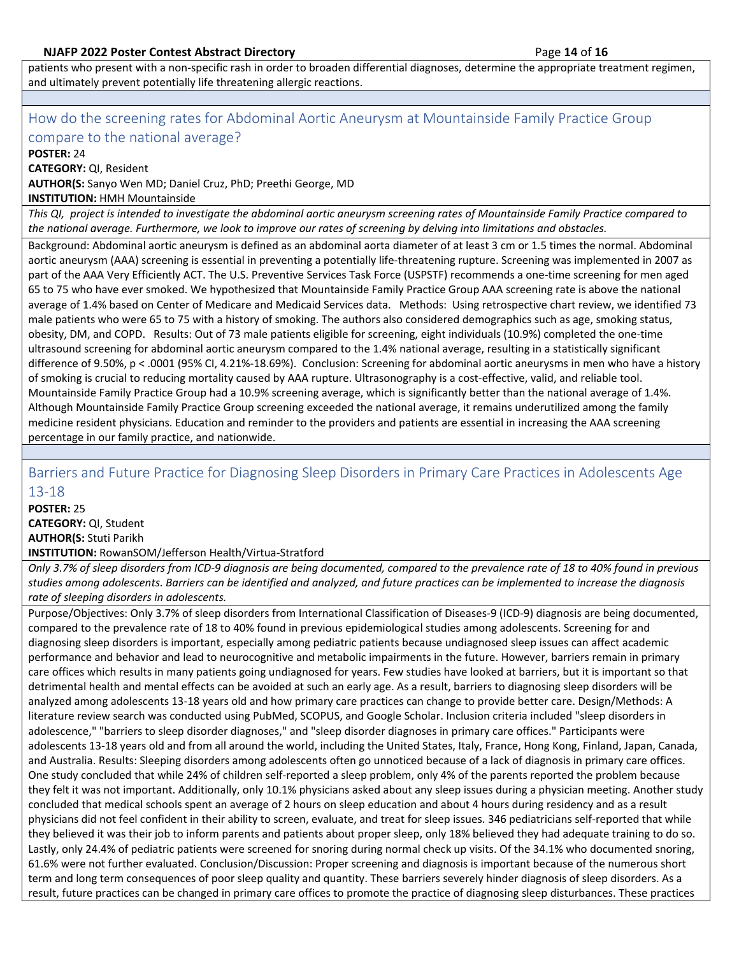patients who present with a non-specific rash in order to broaden differential diagnoses, determine the appropriate treatment regimen, and ultimately prevent potentially life threatening allergic reactions.

## <span id="page-13-0"></span>How do the screening rates for Abdominal Aortic Aneurysm at Mountainside Family Practice Group compare to the national average?

**POSTER:** 24

**CATEGORY:** QI, Resident

**AUTHOR(S:** Sanyo Wen MD; Daniel Cruz, PhD; Preethi George, MD

**INSTITUTION:** HMH Mountainside

*This QI, project is intended to investigate the abdominal aortic aneurysm screening rates of Mountainside Family Practice compared to the national average. Furthermore, we look to improve our rates of screening by delving into limitations and obstacles.*

Background: Abdominal aortic aneurysm is defined as an abdominal aorta diameter of at least 3 cm or 1.5 times the normal. Abdominal aortic aneurysm (AAA) screening is essential in preventing a potentially life-threatening rupture. Screening was implemented in 2007 as part of the AAA Very Efficiently ACT. The U.S. Preventive Services Task Force (USPSTF) recommends a one-time screening for men aged 65 to 75 who have ever smoked. We hypothesized that Mountainside Family Practice Group AAA screening rate is above the national average of 1.4% based on Center of Medicare and Medicaid Services data. Methods: Using retrospective chart review, we identified 73 male patients who were 65 to 75 with a history of smoking. The authors also considered demographics such as age, smoking status, obesity, DM, and COPD. Results: Out of 73 male patients eligible for screening, eight individuals (10.9%) completed the one-time ultrasound screening for abdominal aortic aneurysm compared to the 1.4% national average, resulting in a statistically significant difference of 9.50%, p < .0001 (95% CI, 4.21%-18.69%). Conclusion: Screening for abdominal aortic aneurysms in men who have a history of smoking is crucial to reducing mortality caused by AAA rupture. Ultrasonography is a cost-effective, valid, and reliable tool. Mountainside Family Practice Group had a 10.9% screening average, which is significantly better than the national average of 1.4%. Although Mountainside Family Practice Group screening exceeded the national average, it remains underutilized among the family medicine resident physicians. Education and reminder to the providers and patients are essential in increasing the AAA screening percentage in our family practice, and nationwide.

## <span id="page-13-1"></span>Barriers and Future Practice for Diagnosing Sleep Disorders in Primary Care Practices in Adolescents Age 13-18

**POSTER:** 25 **CATEGORY:** QI, Student **AUTHOR(S:** Stuti Parikh

**INSTITUTION:** RowanSOM/Jefferson Health/Virtua-Stratford

*Only 3.7% of sleep disorders from ICD-9 diagnosis are being documented, compared to the prevalence rate of 18 to 40% found in previous studies among adolescents. Barriers can be identified and analyzed, and future practices can be implemented to increase the diagnosis rate of sleeping disorders in adolescents.*

Purpose/Objectives: Only 3.7% of sleep disorders from International Classification of Diseases-9 (ICD-9) diagnosis are being documented, compared to the prevalence rate of 18 to 40% found in previous epidemiological studies among adolescents. Screening for and diagnosing sleep disorders is important, especially among pediatric patients because undiagnosed sleep issues can affect academic performance and behavior and lead to neurocognitive and metabolic impairments in the future. However, barriers remain in primary care offices which results in many patients going undiagnosed for years. Few studies have looked at barriers, but it is important so that detrimental health and mental effects can be avoided at such an early age. As a result, barriers to diagnosing sleep disorders will be analyzed among adolescents 13-18 years old and how primary care practices can change to provide better care. Design/Methods: A literature review search was conducted using PubMed, SCOPUS, and Google Scholar. Inclusion criteria included "sleep disorders in adolescence," "barriers to sleep disorder diagnoses," and "sleep disorder diagnoses in primary care offices." Participants were adolescents 13-18 years old and from all around the world, including the United States, Italy, France, Hong Kong, Finland, Japan, Canada, and Australia. Results: Sleeping disorders among adolescents often go unnoticed because of a lack of diagnosis in primary care offices. One study concluded that while 24% of children self-reported a sleep problem, only 4% of the parents reported the problem because they felt it was not important. Additionally, only 10.1% physicians asked about any sleep issues during a physician meeting. Another study concluded that medical schools spent an average of 2 hours on sleep education and about 4 hours during residency and as a result physicians did not feel confident in their ability to screen, evaluate, and treat for sleep issues. 346 pediatricians self-reported that while they believed it was their job to inform parents and patients about proper sleep, only 18% believed they had adequate training to do so. Lastly, only 24.4% of pediatric patients were screened for snoring during normal check up visits. Of the 34.1% who documented snoring, 61.6% were not further evaluated. Conclusion/Discussion: Proper screening and diagnosis is important because of the numerous short term and long term consequences of poor sleep quality and quantity. These barriers severely hinder diagnosis of sleep disorders. As a result, future practices can be changed in primary care offices to promote the practice of diagnosing sleep disturbances. These practices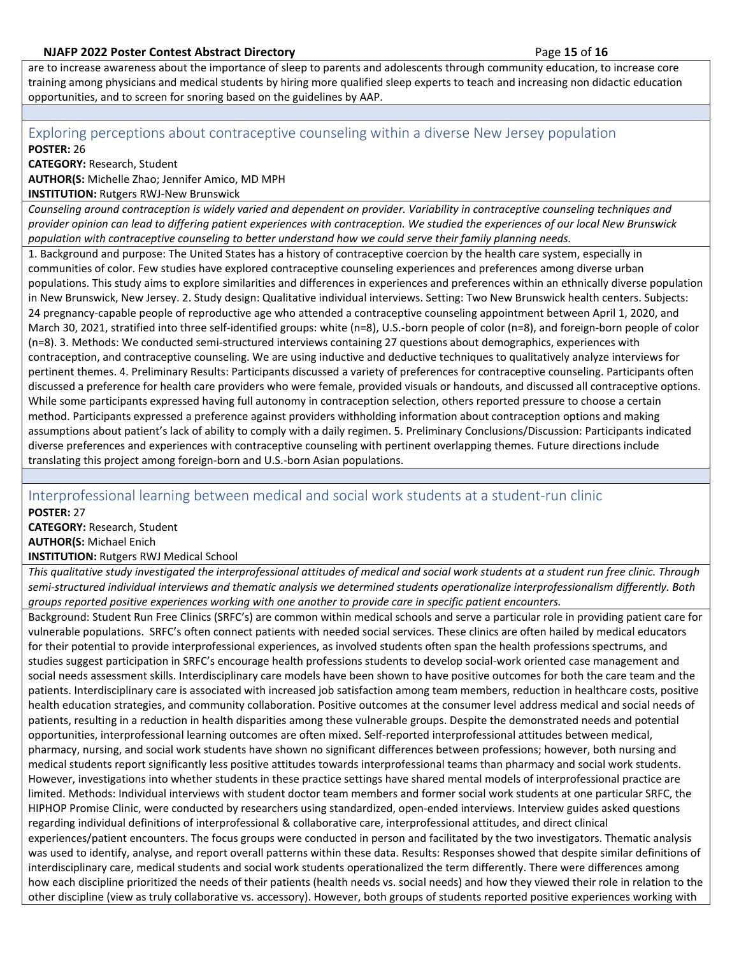are to increase awareness about the importance of sleep to parents and adolescents through community education, to increase core training among physicians and medical students by hiring more qualified sleep experts to teach and increasing non didactic education opportunities, and to screen for snoring based on the guidelines by AAP.

## <span id="page-14-0"></span>Exploring perceptions about contraceptive counseling within a diverse New Jersey population **POSTER:** 26

**CATEGORY:** Research, Student

**AUTHOR(S:** Michelle Zhao; Jennifer Amico, MD MPH

**INSTITUTION:** Rutgers RWJ-New Brunswick

*Counseling around contraception is widely varied and dependent on provider. Variability in contraceptive counseling techniques and provider opinion can lead to differing patient experiences with contraception. We studied the experiences of our local New Brunswick population with contraceptive counseling to better understand how we could serve their family planning needs.*

1. Background and purpose: The United States has a history of contraceptive coercion by the health care system, especially in communities of color. Few studies have explored contraceptive counseling experiences and preferences among diverse urban populations. This study aims to explore similarities and differences in experiences and preferences within an ethnically diverse population in New Brunswick, New Jersey. 2. Study design: Qualitative individual interviews. Setting: Two New Brunswick health centers. Subjects: 24 pregnancy-capable people of reproductive age who attended a contraceptive counseling appointment between April 1, 2020, and March 30, 2021, stratified into three self-identified groups: white (n=8), U.S.-born people of color (n=8), and foreign-born people of color (n=8). 3. Methods: We conducted semi-structured interviews containing 27 questions about demographics, experiences with contraception, and contraceptive counseling. We are using inductive and deductive techniques to qualitatively analyze interviews for pertinent themes. 4. Preliminary Results: Participants discussed a variety of preferences for contraceptive counseling. Participants often discussed a preference for health care providers who were female, provided visuals or handouts, and discussed all contraceptive options. While some participants expressed having full autonomy in contraception selection, others reported pressure to choose a certain method. Participants expressed a preference against providers withholding information about contraception options and making assumptions about patient's lack of ability to comply with a daily regimen. 5. Preliminary Conclusions/Discussion: Participants indicated diverse preferences and experiences with contraceptive counseling with pertinent overlapping themes. Future directions include translating this project among foreign-born and U.S.-born Asian populations.

# <span id="page-14-1"></span>Interprofessional learning between medical and social work students at a student-run clinic

**POSTER:** 27

**CATEGORY:** Research, Student **AUTHOR(S:** Michael Enich

**INSTITUTION:** Rutgers RWJ Medical School

*This qualitative study investigated the interprofessional attitudes of medical and social work students at a student run free clinic. Through semi-structured individual interviews and thematic analysis we determined students operationalize interprofessionalism differently. Both groups reported positive experiences working with one another to provide care in specific patient encounters.*

Background: Student Run Free Clinics (SRFC's) are common within medical schools and serve a particular role in providing patient care for vulnerable populations. SRFC's often connect patients with needed social services. These clinics are often hailed by medical educators for their potential to provide interprofessional experiences, as involved students often span the health professions spectrums, and studies suggest participation in SRFC's encourage health professions students to develop social-work oriented case management and social needs assessment skills. Interdisciplinary care models have been shown to have positive outcomes for both the care team and the patients. Interdisciplinary care is associated with increased job satisfaction among team members, reduction in healthcare costs, positive health education strategies, and community collaboration. Positive outcomes at the consumer level address medical and social needs of patients, resulting in a reduction in health disparities among these vulnerable groups. Despite the demonstrated needs and potential opportunities, interprofessional learning outcomes are often mixed. Self-reported interprofessional attitudes between medical, pharmacy, nursing, and social work students have shown no significant differences between professions; however, both nursing and medical students report significantly less positive attitudes towards interprofessional teams than pharmacy and social work students. However, investigations into whether students in these practice settings have shared mental models of interprofessional practice are limited. Methods: Individual interviews with student doctor team members and former social work students at one particular SRFC, the HIPHOP Promise Clinic, were conducted by researchers using standardized, open-ended interviews. Interview guides asked questions regarding individual definitions of interprofessional & collaborative care, interprofessional attitudes, and direct clinical experiences/patient encounters. The focus groups were conducted in person and facilitated by the two investigators. Thematic analysis was used to identify, analyse, and report overall patterns within these data. Results: Responses showed that despite similar definitions of interdisciplinary care, medical students and social work students operationalized the term differently. There were differences among how each discipline prioritized the needs of their patients (health needs vs. social needs) and how they viewed their role in relation to the other discipline (view as truly collaborative vs. accessory). However, both groups of students reported positive experiences working with